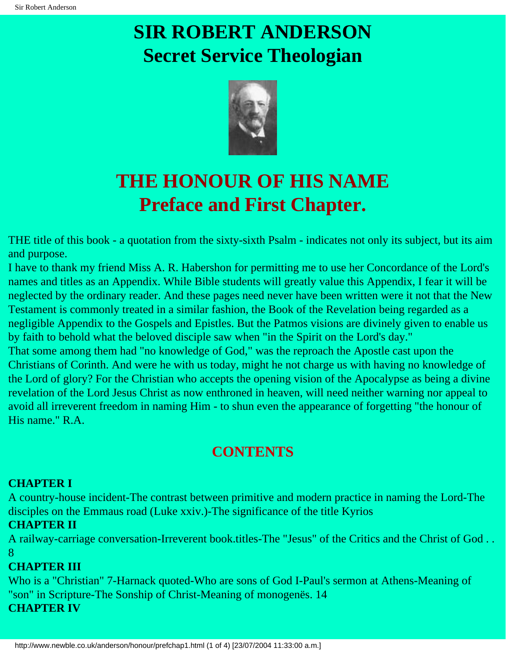

### **THE HONOUR OF HIS NAME Preface and First Chapter.**

THE title of this book - a quotation from the sixty-sixth Psalm - indicates not only its subject, but its aim and purpose.

I have to thank my friend Miss A. R. Habershon for permitting me to use her Concordance of the Lord's names and titles as an Appendix. While Bible students will greatly value this Appendix, I fear it will be neglected by the ordinary reader. And these pages need never have been written were it not that the New Testament is commonly treated in a similar fashion, the Book of the Revelation being regarded as a negligible Appendix to the Gospels and Epistles. But the Patmos visions are divinely given to enable us by faith to behold what the beloved disciple saw when "in the Spirit on the Lord's day."

That some among them had "no knowledge of God," was the reproach the Apostle cast upon the Christians of Corinth. And were he with us today, might he not charge us with having no knowledge of the Lord of glory? For the Christian who accepts the opening vision of the Apocalypse as being a divine revelation of the Lord Jesus Christ as now enthroned in heaven, will need neither warning nor appeal to avoid all irreverent freedom in naming Him - to shun even the appearance of forgetting "the honour of His name." R.A.

#### **CONTENTS**

#### **CHAPTER I**

A country-house incident-The contrast between primitive and modern practice in naming the Lord-The disciples on the Emmaus road (Luke xxiv.)-The significance of the title Kyrios

#### **CHAPTER II**

A railway-carriage conversation-Irreverent book.titles-The "Jesus" of the Critics and the Christ of God . . 8

#### **CHAPTER III**

Who is a "Christian" 7-Harnack quoted-Who are sons of God I-Paul's sermon at Athens-Meaning of "son" in Scripture-The Sonship of Christ-Meaning of monogenës. 14 **CHAPTER IV**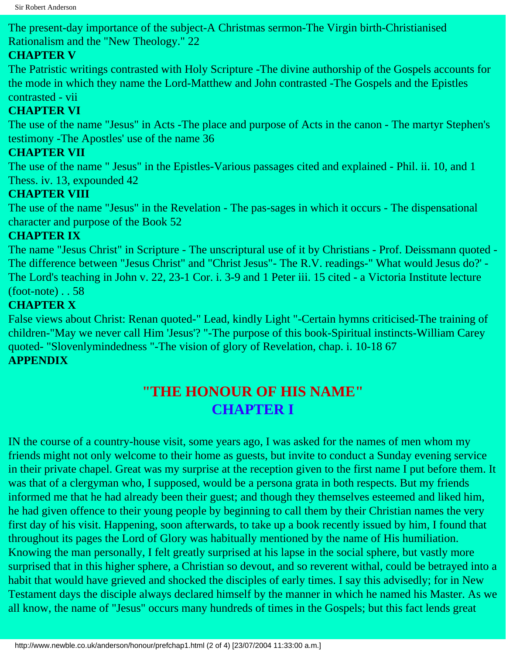The present-day importance of the subject-A Christmas sermon-The Virgin birth-Christianised Rationalism and the "New Theology." 22

#### **CHAPTER V**

The Patristic writings contrasted with Holy Scripture -The divine authorship of the Gospels accounts for the mode in which they name the Lord-Matthew and John contrasted -The Gospels and the Epistles contrasted - vii

#### **CHAPTER VI**

The use of the name "Jesus" in Acts -The place and purpose of Acts in the canon - The martyr Stephen's testimony -The Apostles' use of the name 36

#### **CHAPTER VII**

The use of the name " Jesus" in the Epistles-Various passages cited and explained - Phil. ii. 10, and 1 Thess. iv. 13, expounded 42

#### **CHAPTER VIII**

The use of the name "Jesus" in the Revelation - The pas-sages in which it occurs - The dispensational character and purpose of the Book 52

#### **CHAPTER IX**

The name "Jesus Christ" in Scripture - The unscriptural use of it by Christians - Prof. Deissmann quoted - The difference between "Jesus Christ" and "Christ Jesus"- The R.V. readings-" What would Jesus do?' - The Lord's teaching in John v. 22, 23-1 Cor. i. 3-9 and 1 Peter iii. 15 cited - a Victoria Institute lecture (foot-note) . . 58

#### **CHAPTER X**

False views about Christ: Renan quoted-" Lead, kindly Light "-Certain hymns criticised-The training of children-"May we never call Him 'Jesus'? "-The purpose of this book-Spiritual instincts-William Carey quoted- "Slovenlymindedness "-The vision of glory of Revelation, chap. i. 10-18 67 **APPENDIX**

#### **"THE HONOUR OF HIS NAME" CHAPTER I**

IN the course of a country-house visit, some years ago, I was asked for the names of men whom my friends might not only welcome to their home as guests, but invite to conduct a Sunday evening service in their private chapel. Great was my surprise at the reception given to the first name I put before them. It was that of a clergyman who, I supposed, would be a persona grata in both respects. But my friends informed me that he had already been their guest; and though they themselves esteemed and liked him, he had given offence to their young people by beginning to call them by their Christian names the very first day of his visit. Happening, soon afterwards, to take up a book recently issued by him, I found that throughout its pages the Lord of Glory was habitually mentioned by the name of His humiliation. Knowing the man personally, I felt greatly surprised at his lapse in the social sphere, but vastly more surprised that in this higher sphere, a Christian so devout, and so reverent withal, could be betrayed into a habit that would have grieved and shocked the disciples of early times. I say this advisedly; for in New Testament days the disciple always declared himself by the manner in which he named his Master. As we all know, the name of "Jesus" occurs many hundreds of times in the Gospels; but this fact lends great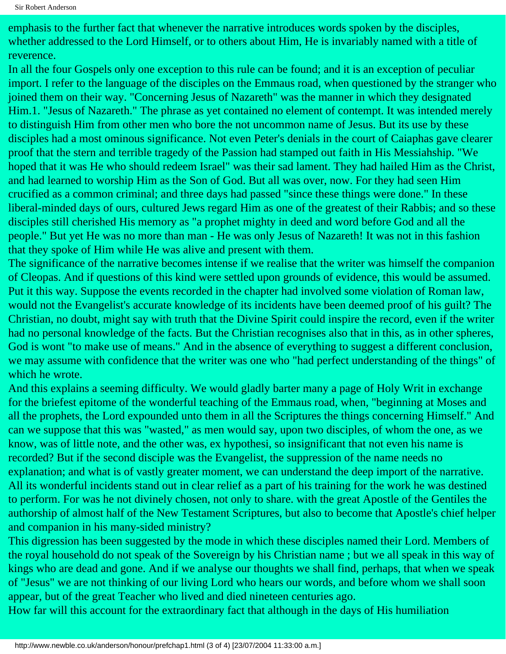emphasis to the further fact that whenever the narrative introduces words spoken by the disciples, whether addressed to the Lord Himself, or to others about Him, He is invariably named with a title of reverence.

In all the four Gospels only one exception to this rule can be found; and it is an exception of peculiar import. I refer to the language of the disciples on the Emmaus road, when questioned by the stranger who joined them on their way. "Concerning Jesus of Nazareth" was the manner in which they designated Him.1. "Jesus of Nazareth." The phrase as yet contained no element of contempt. It was intended merely to distinguish Him from other men who bore the not uncommon name of Jesus. But its use by these disciples had a most ominous significance. Not even Peter's denials in the court of Caiaphas gave clearer proof that the stern and terrible tragedy of the Passion had stamped out faith in His Messiahship. "We hoped that it was He who should redeem Israel" was their sad lament. They had hailed Him as the Christ, and had learned to worship Him as the Son of God. But all was over, now. For they had seen Him crucified as a common criminal; and three days had passed "since these things were done." In these liberal-minded days of ours, cultured Jews regard Him as one of the greatest of their Rabbis; and so these disciples still cherished His memory as "a prophet mighty in deed and word before God and all the people." But yet He was no more than man - He was only Jesus of Nazareth! It was not in this fashion that they spoke of Him while He was alive and present with them.

The significance of the narrative becomes intense if we realise that the writer was himself the companion of Cleopas. And if questions of this kind were settled upon grounds of evidence, this would be assumed. Put it this way. Suppose the events recorded in the chapter had involved some violation of Roman law, would not the Evangelist's accurate knowledge of its incidents have been deemed proof of his guilt? The Christian, no doubt, might say with truth that the Divine Spirit could inspire the record, even if the writer had no personal knowledge of the facts. But the Christian recognises also that in this, as in other spheres, God is wont "to make use of means." And in the absence of everything to suggest a different conclusion, we may assume with confidence that the writer was one who "had perfect understanding of the things" of which he wrote.

And this explains a seeming difficulty. We would gladly barter many a page of Holy Writ in exchange for the briefest epitome of the wonderful teaching of the Emmaus road, when, "beginning at Moses and all the prophets, the Lord expounded unto them in all the Scriptures the things concerning Himself." And can we suppose that this was "wasted," as men would say, upon two disciples, of whom the one, as we know, was of little note, and the other was, ex hypothesi, so insignificant that not even his name is recorded? But if the second disciple was the Evangelist, the suppression of the name needs no explanation; and what is of vastly greater moment, we can understand the deep import of the narrative. All its wonderful incidents stand out in clear relief as a part of his training for the work he was destined to perform. For was he not divinely chosen, not only to share. with the great Apostle of the Gentiles the authorship of almost half of the New Testament Scriptures, but also to become that Apostle's chief helper and companion in his many-sided ministry?

This digression has been suggested by the mode in which these disciples named their Lord. Members of the royal household do not speak of the Sovereign by his Christian name ; but we all speak in this way of kings who are dead and gone. And if we analyse our thoughts we shall find, perhaps, that when we speak of "Jesus" we are not thinking of our living Lord who hears our words, and before whom we shall soon appear, but of the great Teacher who lived and died nineteen centuries ago.

How far will this account for the extraordinary fact that although in the days of His humiliation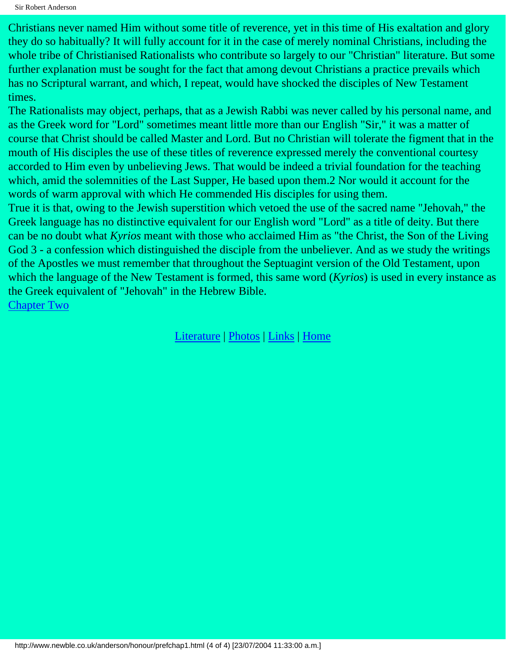Sir Robert Anderson

Christians never named Him without some title of reverence, yet in this time of His exaltation and glory they do so habitually? It will fully account for it in the case of merely nominal Christians, including the whole tribe of Christianised Rationalists who contribute so largely to our "Christian" literature. But some further explanation must be sought for the fact that among devout Christians a practice prevails which has no Scriptural warrant, and which, I repeat, would have shocked the disciples of New Testament times.

The Rationalists may object, perhaps, that as a Jewish Rabbi was never called by his personal name, and as the Greek word for "Lord" sometimes meant little more than our English "Sir," it was a matter of course that Christ should be called Master and Lord. But no Christian will tolerate the figment that in the mouth of His disciples the use of these titles of reverence expressed merely the conventional courtesy accorded to Him even by unbelieving Jews. That would be indeed a trivial foundation for the teaching which, amid the solemnities of the Last Supper, He based upon them.2 Nor would it account for the words of warm approval with which He commended His disciples for using them.

True it is that, owing to the Jewish superstition which vetoed the use of the sacred name "Jehovah," the Greek language has no distinctive equivalent for our English word "Lord" as a title of deity. But there can be no doubt what *Kyrios* meant with those who acclaimed Him as "the Christ, the Son of the Living God 3 - a confession which distinguished the disciple from the unbeliever. And as we study the writings of the Apostles we must remember that throughout the Septuagint version of the Old Testament, upon which the language of the New Testament is formed, this same word (*Kyrios*) is used in every instance as the Greek equivalent of "Jehovah" in the Hebrew Bible. [Chapter Two](#page-4-0)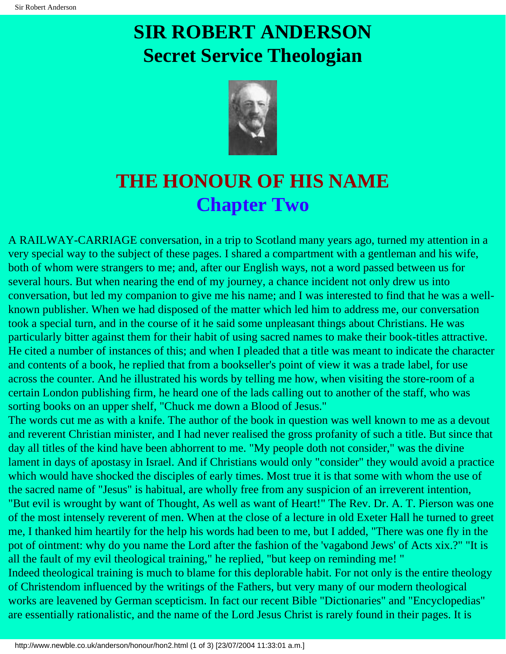

### <span id="page-4-0"></span>**THE HONOUR OF HIS NAME Chapter Two**

A RAILWAY-CARRIAGE conversation, in a trip to Scotland many years ago, turned my attention in a very special way to the subject of these pages. I shared a compartment with a gentleman and his wife, both of whom were strangers to me; and, after our English ways, not a word passed between us for several hours. But when nearing the end of my journey, a chance incident not only drew us into conversation, but led my companion to give me his name; and I was interested to find that he was a wellknown publisher. When we had disposed of the matter which led him to address me, our conversation took a special turn, and in the course of it he said some unpleasant things about Christians. He was particularly bitter against them for their habit of using sacred names to make their book-titles attractive. He cited a number of instances of this; and when I pleaded that a title was meant to indicate the character and contents of a book, he replied that from a bookseller's point of view it was a trade label, for use across the counter. And he illustrated his words by telling me how, when visiting the store-room of a certain London publishing firm, he heard one of the lads calling out to another of the staff, who was sorting books on an upper shelf, "Chuck me down a Blood of Jesus."

The words cut me as with a knife. The author of the book in question was well known to me as a devout and reverent Christian minister, and I had never realised the gross profanity of such a title. But since that day all titles of the kind have been abhorrent to me. "My people doth not consider," was the divine lament in days of apostasy in Israel. And if Christians would only "consider" they would avoid a practice which would have shocked the disciples of early times. Most true it is that some with whom the use of the sacred name of "Jesus" is habitual, are wholly free from any suspicion of an irreverent intention, "But evil is wrought by want of Thought, As well as want of Heart!" The Rev. Dr. A. T. Pierson was one of the most intensely reverent of men. When at the close of a lecture in old Exeter Hall he turned to greet me, I thanked him heartily for the help his words had been to me, but I added, "There was one fly in the pot of ointment: why do you name the Lord after the fashion of the 'vagabond Jews' of Acts xix.?" "It is all the fault of my evil theological training," he replied, "but keep on reminding me! " Indeed theological training is much to blame for this deplorable habit. For not only is the entire theology

of Christendom influenced by the writings of the Fathers, but very many of our modern theological works are leavened by German scepticism. In fact our recent Bible "Dictionaries" and "Encyclopedias" are essentially rationalistic, and the name of the Lord Jesus Christ is rarely found in their pages. It is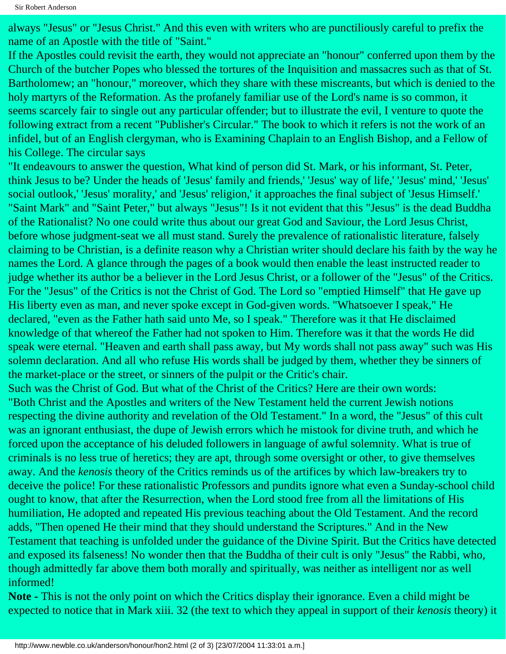always "Jesus" or "Jesus Christ." And this even with writers who are punctiliously careful to prefix the name of an Apostle with the title of "Saint."

If the Apostles could revisit the earth, they would not appreciate an "honour" conferred upon them by the Church of the butcher Popes who blessed the tortures of the Inquisition and massacres such as that of St. Bartholomew; an "honour," moreover, which they share with these miscreants, but which is denied to the holy martyrs of the Reformation. As the profanely familiar use of the Lord's name is so common, it seems scarcely fair to single out any particular offender; but to illustrate the evil, I venture to quote the following extract from a recent "Publisher's Circular." The book to which it refers is not the work of an infidel, but of an English clergyman, who is Examining Chaplain to an English Bishop, and a Fellow of his College. The circular says

"It endeavours to answer the question, What kind of person did St. Mark, or his informant, St. Peter, think Jesus to be? Under the heads of 'Jesus' family and friends,' 'Jesus' way of life,' 'Jesus' mind,' 'Jesus' social outlook,' 'Jesus' morality,' and 'Jesus' religion,' it approaches the final subject of 'Jesus Himself.' "Saint Mark" and "Saint Peter," but always "Jesus"! Is it not evident that this "Jesus" is the dead Buddha of the Rationalist? No one could write thus about our great God and Saviour, the Lord Jesus Christ, before whose judgment-seat we all must stand. Surely the prevalence of rationalistic literature, falsely claiming to be Christian, is a definite reason why a Christian writer should declare his faith by the way he names the Lord. A glance through the pages of a book would then enable the least instructed reader to judge whether its author be a believer in the Lord Jesus Christ, or a follower of the "Jesus" of the Critics. For the "Jesus" of the Critics is not the Christ of God. The Lord so "emptied Himself" that He gave up His liberty even as man, and never spoke except in God-given words. "Whatsoever I speak," He declared, "even as the Father hath said unto Me, so I speak." Therefore was it that He disclaimed knowledge of that whereof the Father had not spoken to Him. Therefore was it that the words He did speak were eternal. "Heaven and earth shall pass away, but My words shall not pass away" such was His solemn declaration. And all who refuse His words shall be judged by them, whether they be sinners of the market-place or the street, or sinners of the pulpit or the Critic's chair.

Such was the Christ of God. But what of the Christ of the Critics? Here are their own words: "Both Christ and the Apostles and writers of the New Testament held the current Jewish notions respecting the divine authority and revelation of the Old Testament." In a word, the "Jesus" of this cult was an ignorant enthusiast, the dupe of Jewish errors which he mistook for divine truth, and which he forced upon the acceptance of his deluded followers in language of awful solemnity. What is true of criminals is no less true of heretics; they are apt, through some oversight or other, to give themselves away. And the *kenosis* theory of the Critics reminds us of the artifices by which law-breakers try to deceive the police! For these rationalistic Professors and pundits ignore what even a Sunday-school child ought to know, that after the Resurrection, when the Lord stood free from all the limitations of His humiliation, He adopted and repeated His previous teaching about the Old Testament. And the record adds, "Then opened He their mind that they should understand the Scriptures." And in the New Testament that teaching is unfolded under the guidance of the Divine Spirit. But the Critics have detected and exposed its falseness! No wonder then that the Buddha of their cult is only "Jesus" the Rabbi, who, though admittedly far above them both morally and spiritually, was neither as intelligent nor as well informed!

**Note -** This is not the only point on which the Critics display their ignorance. Even a child might be expected to notice that in Mark xiii. 32 (the text to which they appeal in support of their *kenosis* theory) it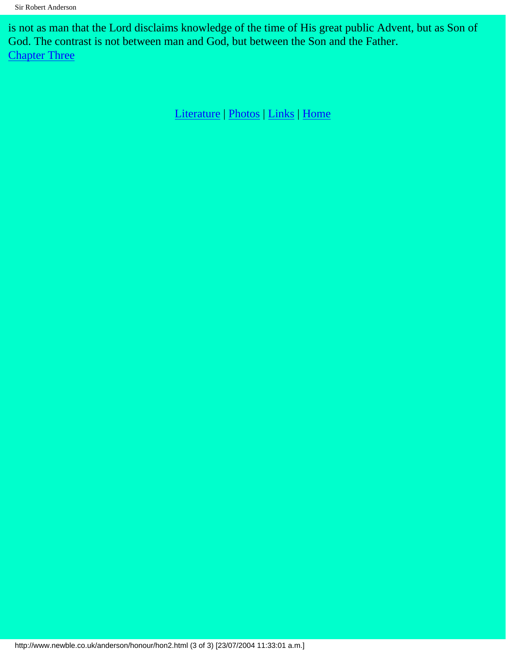is not as man that the Lord disclaims knowledge of the time of His great public Advent, but as Son of God. The contrast is not between man and God, but between the Son and the Father. **[Chapter Three](#page-7-0)**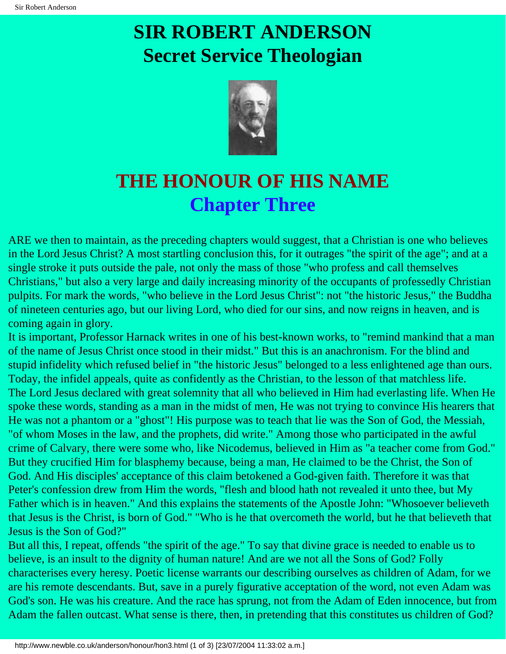

### <span id="page-7-0"></span>**THE HONOUR OF HIS NAME Chapter Three**

ARE we then to maintain, as the preceding chapters would suggest, that a Christian is one who believes in the Lord Jesus Christ? A most startling conclusion this, for it outrages "the spirit of the age"; and at a single stroke it puts outside the pale, not only the mass of those "who profess and call themselves Christians," but also a very large and daily increasing minority of the occupants of professedly Christian pulpits. For mark the words, "who believe in the Lord Jesus Christ": not "the historic Jesus," the Buddha of nineteen centuries ago, but our living Lord, who died for our sins, and now reigns in heaven, and is coming again in glory.

It is important, Professor Harnack writes in one of his best-known works, to "remind mankind that a man of the name of Jesus Christ once stood in their midst." But this is an anachronism. For the blind and stupid infidelity which refused belief in "the historic Jesus" belonged to a less enlightened age than ours. Today, the infidel appeals, quite as confidently as the Christian, to the lesson of that matchless life. The Lord Jesus declared with great solemnity that all who believed in Him had everlasting life. When He spoke these words, standing as a man in the midst of men, He was not trying to convince His hearers that He was not a phantom or a "ghost"! His purpose was to teach that lie was the Son of God, the Messiah, "of whom Moses in the law, and the prophets, did write." Among those who participated in the awful crime of Calvary, there were some who, like Nicodemus, believed in Him as "a teacher come from God." But they crucified Him for blasphemy because, being a man, He claimed to be the Christ, the Son of God. And His disciples' acceptance of this claim betokened a God-given faith. Therefore it was that Peter's confession drew from Him the words, "flesh and blood hath not revealed it unto thee, but My Father which is in heaven." And this explains the statements of the Apostle John: "Whosoever believeth that Jesus is the Christ, is born of God." "Who is he that overcometh the world, but he that believeth that Jesus is the Son of God?"

But all this, I repeat, offends "the spirit of the age." To say that divine grace is needed to enable us to believe, is an insult to the dignity of human nature! And are we not all the Sons of God? Folly characterises every heresy. Poetic license warrants our describing ourselves as children of Adam, for we are his remote descendants. But, save in a purely figurative acceptation of the word, not even Adam was God's son. He was his creature. And the race has sprung, not from the Adam of Eden innocence, but from Adam the fallen outcast. What sense is there, then, in pretending that this constitutes us children of God?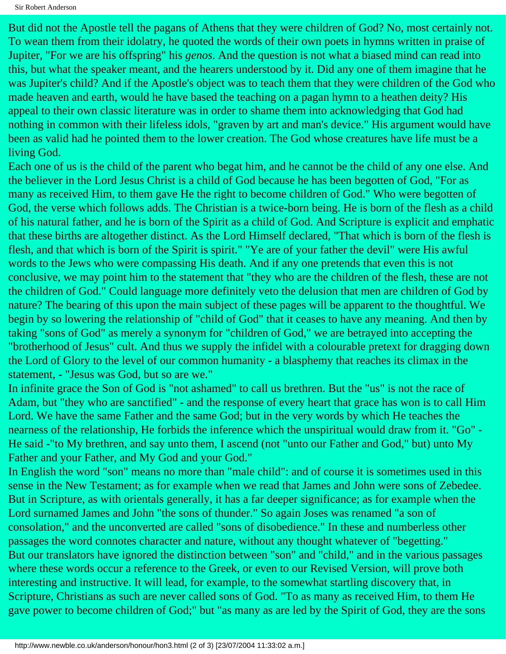But did not the Apostle tell the pagans of Athens that they were children of God? No, most certainly not. To wean them from their idolatry, he quoted the words of their own poets in hymns written in praise of Jupiter, "For we are his offspring" his *genos*. And the question is not what a biased mind can read into this, but what the speaker meant, and the hearers understood by it. Did any one of them imagine that he was Jupiter's child? And if the Apostle's object was to teach them that they were children of the God who made heaven and earth, would he have based the teaching on a pagan hymn to a heathen deity? His appeal to their own classic literature was in order to shame them into acknowledging that God had nothing in common with their lifeless idols, "graven by art and man's device." His argument would have been as valid had he pointed them to the lower creation. The God whose creatures have life must be a living God.

Each one of us is the child of the parent who begat him, and he cannot be the child of any one else. And the believer in the Lord Jesus Christ is a child of God because he has been begotten of God, "For as many as received Him, to them gave He the right to become children of God." Who were begotten of God, the verse which follows adds. The Christian is a twice-born being. He is born of the flesh as a child of his natural father, and he is born of the Spirit as a child of God. And Scripture is explicit and emphatic that these births are altogether distinct. As the Lord Himself declared, "That which is born of the flesh is flesh, and that which is born of the Spirit is spirit." "Ye are of your father the devil" were His awful words to the Jews who were compassing His death. And if any one pretends that even this is not conclusive, we may point him to the statement that "they who are the children of the flesh, these are not the children of God." Could language more definitely veto the delusion that men are children of God by nature? The bearing of this upon the main subject of these pages will be apparent to the thoughtful. We begin by so lowering the relationship of "child of God" that it ceases to have any meaning. And then by taking "sons of God" as merely a synonym for "children of God," we are betrayed into accepting the "brotherhood of Jesus" cult. And thus we supply the infidel with a colourable pretext for dragging down the Lord of Glory to the level of our common humanity - a blasphemy that reaches its climax in the statement, - "Jesus was God, but so are we."

In infinite grace the Son of God is "not ashamed" to call us brethren. But the "us" is not the race of Adam, but "they who are sanctified" - and the response of every heart that grace has won is to call Him Lord. We have the same Father and the same God; but in the very words by which He teaches the nearness of the relationship, He forbids the inference which the unspiritual would draw from it. "Go" - He said -"to My brethren, and say unto them, I ascend (not "unto our Father and God," but) unto My Father and your Father, and My God and your God."

In English the word "son" means no more than "male child": and of course it is sometimes used in this sense in the New Testament; as for example when we read that James and John were sons of Zebedee. But in Scripture, as with orientals generally, it has a far deeper significance; as for example when the Lord surnamed James and John "the sons of thunder." So again Joses was renamed "a son of consolation," and the unconverted are called "sons of disobedience." In these and numberless other passages the word connotes character and nature, without any thought whatever of "begetting." But our translators have ignored the distinction between "son" and "child," and in the various passages where these words occur a reference to the Greek, or even to our Revised Version, will prove both interesting and instructive. It will lead, for example, to the somewhat startling discovery that, in Scripture, Christians as such are never called sons of God. "To as many as received Him, to them He gave power to become children of God;" but "as many as are led by the Spirit of God, they are the sons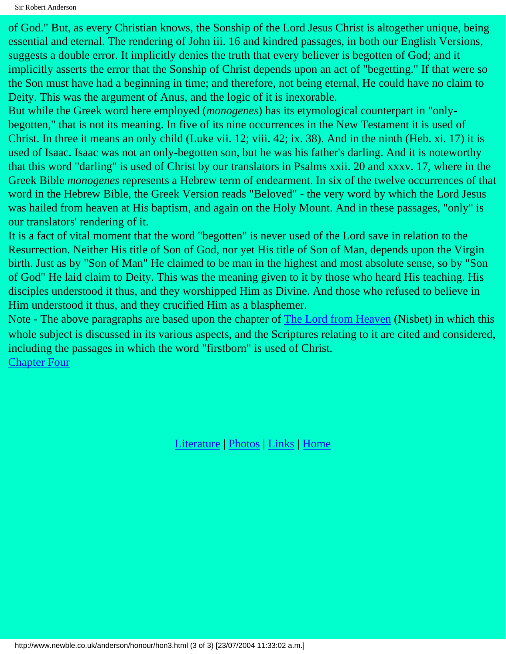of God." But, as every Christian knows, the Sonship of the Lord Jesus Christ is altogether unique, being essential and eternal. The rendering of John iii. 16 and kindred passages, in both our English Versions, suggests a double error. It implicitly denies the truth that every believer is begotten of God; and it implicitly asserts the error that the Sonship of Christ depends upon an act of "begetting." If that were so the Son must have had a beginning in time; and therefore, not being eternal, He could have no claim to Deity. This was the argument of Anus, and the logic of it is inexorable.

But while the Greek word here employed (*monogenes*) has its etymological counterpart in "onlybegotten," that is not its meaning. In five of its nine occurrences in the New Testament it is used of Christ. In three it means an only child (Luke vii. 12; viii. 42; ix. 38). And in the ninth (Heb. xi. 17) it is used of Isaac. Isaac was not an only-begotten son, but he was his father's darling. And it is noteworthy that this word "darling" is used of Christ by our translators in Psalms xxii. 20 and xxxv. 17, where in the Greek Bible *monogenes* represents a Hebrew term of endearment. In six of the twelve occurrences of that word in the Hebrew Bible, the Greek Version reads "Beloved" - the very word by which the Lord Jesus was hailed from heaven at His baptism, and again on the Holy Mount. And in these passages, "only" is our translators' rendering of it.

It is a fact of vital moment that the word "begotten" is never used of the Lord save in relation to the Resurrection. Neither His title of Son of God, nor yet His title of Son of Man, depends upon the Virgin birth. Just as by "Son of Man" He claimed to be man in the highest and most absolute sense, so by "Son of God" He laid claim to Deity. This was the meaning given to it by those who heard His teaching. His disciples understood it thus, and they worshipped Him as Divine. And those who refused to believe in Him understood it thus, and they crucified Him as a blasphemer.

Note - The above paragraphs are based upon the chapter of [The Lord from Heaven](http://www.newble.co.uk/anderson/heaven/preface.html) (Nisbet) in which this whole subject is discussed in its various aspects, and the Scriptures relating to it are cited and considered, including the passages in which the word "firstborn" is used of Christ. **[Chapter Four](#page-10-0)**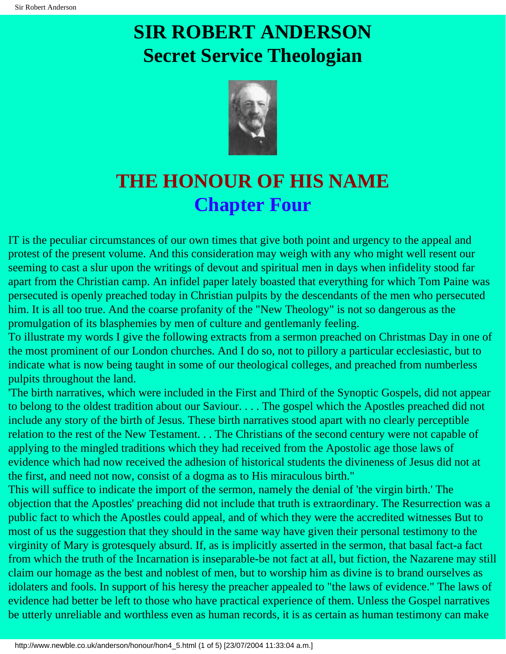

### <span id="page-10-0"></span>**THE HONOUR OF HIS NAME Chapter Four**

IT is the peculiar circumstances of our own times that give both point and urgency to the appeal and protest of the present volume. And this consideration may weigh with any who might well resent our seeming to cast a slur upon the writings of devout and spiritual men in days when infidelity stood far apart from the Christian camp. An infidel paper lately boasted that everything for which Tom Paine was persecuted is openly preached today in Christian pulpits by the descendants of the men who persecuted him. It is all too true. And the coarse profanity of the "New Theology" is not so dangerous as the promulgation of its blasphemies by men of culture and gentlemanly feeling.

To illustrate my words I give the following extracts from a sermon preached on Christmas Day in one of the most prominent of our London churches. And I do so, not to pillory a particular ecclesiastic, but to indicate what is now being taught in some of our theological colleges, and preached from numberless pulpits throughout the land.

'The birth narratives, which were included in the First and Third of the Synoptic Gospels, did not appear to belong to the oldest tradition about our Saviour. . . . The gospel which the Apostles preached did not include any story of the birth of Jesus. These birth narratives stood apart with no clearly perceptible relation to the rest of the New Testament. . . The Christians of the second century were not capable of applying to the mingled traditions which they had received from the Apostolic age those laws of evidence which had now received the adhesion of historical students the divineness of Jesus did not at the first, and need not now, consist of a dogma as to His miraculous birth."

This will suffice to indicate the import of the sermon, namely the denial of 'the virgin birth.' The objection that the Apostles' preaching did not include that truth is extraordinary. The Resurrection was a public fact to which the Apostles could appeal, and of which they were the accredited witnesses But to most of us the suggestion that they should in the same way have given their personal testimony to the virginity of Mary is grotesquely absurd. If, as is implicitly asserted in the sermon, that basal fact-a fact from which the truth of the Incarnation is inseparable-be not fact at all, but fiction, the Nazarene may still claim our homage as the best and noblest of men, but to worship him as divine is to brand ourselves as idolaters and fools. In support of his heresy the preacher appealed to "the laws of evidence." The laws of evidence had better be left to those who have practical experience of them. Unless the Gospel narratives be utterly unreliable and worthless even as human records, it is as certain as human testimony can make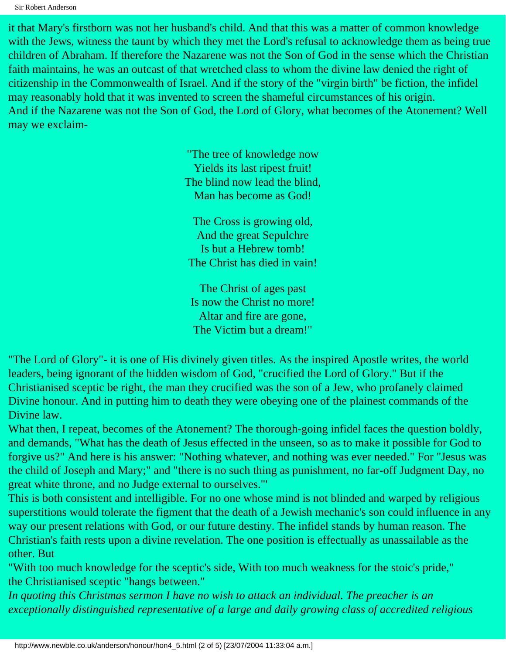Sir Robert Anderson

it that Mary's firstborn was not her husband's child. And that this was a matter of common knowledge with the Jews, witness the taunt by which they met the Lord's refusal to acknowledge them as being true children of Abraham. If therefore the Nazarene was not the Son of God in the sense which the Christian faith maintains, he was an outcast of that wretched class to whom the divine law denied the right of citizenship in the Commonwealth of Israel. And if the story of the "virgin birth" be fiction, the infidel may reasonably hold that it was invented to screen the shameful circumstances of his origin. And if the Nazarene was not the Son of God, the Lord of Glory, what becomes of the Atonement? Well may we exclaim-

> "The tree of knowledge now Yields its last ripest fruit! The blind now lead the blind, Man has become as God!

The Cross is growing old, And the great Sepulchre Is but a Hebrew tomb! The Christ has died in vain!

The Christ of ages past Is now the Christ no more! Altar and fire are gone, The Victim but a dream!"

"The Lord of Glory"- it is one of His divinely given titles. As the inspired Apostle writes, the world leaders, being ignorant of the hidden wisdom of God, "crucified the Lord of Glory." But if the Christianised sceptic be right, the man they crucified was the son of a Jew, who profanely claimed Divine honour. And in putting him to death they were obeying one of the plainest commands of the Divine law.

What then, I repeat, becomes of the Atonement? The thorough-going infidel faces the question boldly, and demands, "What has the death of Jesus effected in the unseen, so as to make it possible for God to forgive us?" And here is his answer: "Nothing whatever, and nothing was ever needed." For "Jesus was the child of Joseph and Mary;" and "there is no such thing as punishment, no far-off Judgment Day, no great white throne, and no Judge external to ourselves."'

This is both consistent and intelligible. For no one whose mind is not blinded and warped by religious superstitions would tolerate the figment that the death of a Jewish mechanic's son could influence in any way our present relations with God, or our future destiny. The infidel stands by human reason. The Christian's faith rests upon a divine revelation. The one position is effectually as unassailable as the other. But

"With too much knowledge for the sceptic's side, With too much weakness for the stoic's pride," the Christianised sceptic "hangs between."

*In quoting this Christmas sermon I have no wish to attack an individual. The preacher is an exceptionally distinguished representative of a large and daily growing class of accredited religious*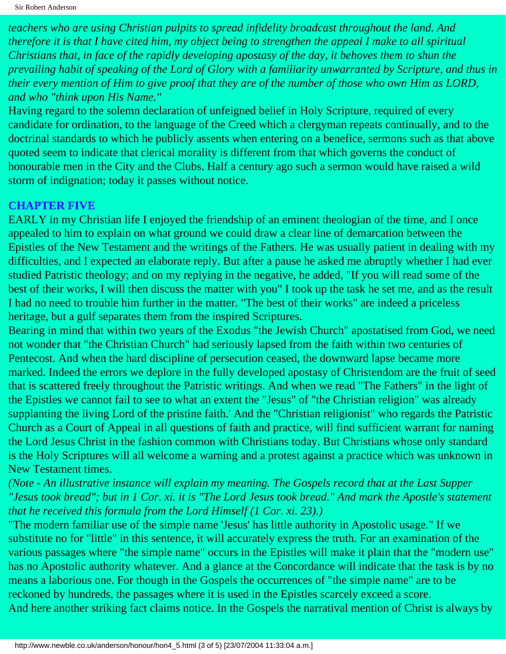*teachers who are using Christian pulpits to spread infidelity broadcast throughout the land. And therefore it is that I have cited him, my object being to strengthen the appeal I make to all spiritual Christians that, in face of the rapidly developing apostasy of the day, it behoves them to shun the prevailing habit of speaking of the Lord of Glory with a familiarity unwarranted by Scripture, and thus in their every mention of Him to give proof that they are of the number of those who own Him as LORD, and who "think upon His Name."*

Having regard to the solemn declaration of unfeigned belief in Holy Scripture, required of every candidate for ordination, to the language of the Creed which a clergyman repeats continually, and to the doctrinal standards to which he publicly assents when entering on a benefice, sermons such as that above quoted seem to indicate that clerical morality is different from that which governs the conduct of honourable men in the City and the Clubs. Half a century ago such a sermon would have raised a wild storm of indignation; today it passes without notice.

#### **CHAPTER FIVE**

EARLY in my Christian life I enjoyed the friendship of an eminent theologian of the time, and I once appealed to him to explain on what ground we could draw a clear line of demarcation between the Epistles of the New Testament and the writings of the Fathers. He was usually patient in dealing with my difficulties, and I expected an elaborate reply. But after a pause he asked me abruptly whether I had ever studied Patristic theology; and on my replying in the negative, he added, "If you will read some of the best of their works, I will then discuss the matter with you" I took up the task he set me, and as the result I had no need to trouble him further in the matter. "The best of their works" are indeed a priceless heritage, but a gulf separates them from the inspired Scriptures.

Bearing in mind that within two years of the Exodus "the Jewish Church" apostatised from God, we need not wonder that "the Christian Church" had seriously lapsed from the faith within two centuries of Pentecost. And when the hard discipline of persecution ceased, the downward lapse became more marked. Indeed the errors we deplore in the fully developed apostasy of Christendom are the fruit of seed that is scattered freely throughout the Patristic writings. And when we read "The Fathers" in the light of the Epistles we cannot fail to see to what an extent the "Jesus" of "the Christian religion" was already supplanting the living Lord of the pristine faith.' And the "Christian religionist" who regards the Patristic Church as a Court of Appeal in all questions of faith and practice, will find sufficient warrant for naming the Lord Jesus Christ in the fashion common with Christians today. But Christians whose only standard is the Holy Scriptures will all welcome a warning and a protest against a practice which was unknown in New Testament times.

*(Note - An illustrative instance will explain my meaning. The Gospels record that at the Last Supper "Jesus took bread"; but in 1 Cor. xi. it is "The Lord Jesus took bread." And mark the Apostle's statement that he received this formula from the Lord Himself (1 Cor. xi. 23).)*

"The modern familiar use of the simple name 'Jesus' has little authority in Apostolic usage." If we substitute no for "little" in this sentence, it will accurately express the truth. For an examination of the various passages where "the simple name" occurs in the Epistles will make it plain that the "modern use" has no Apostolic authority whatever. And a glance at the Concordance will indicate that the task is by no means a laborious one. For though in the Gospels the occurrences of "the simple name" are to be reckoned by hundreds, the passages where it is used in the Epistles scarcely exceed a score. And here another striking fact claims notice. In the Gospels the narratival mention of Christ is always by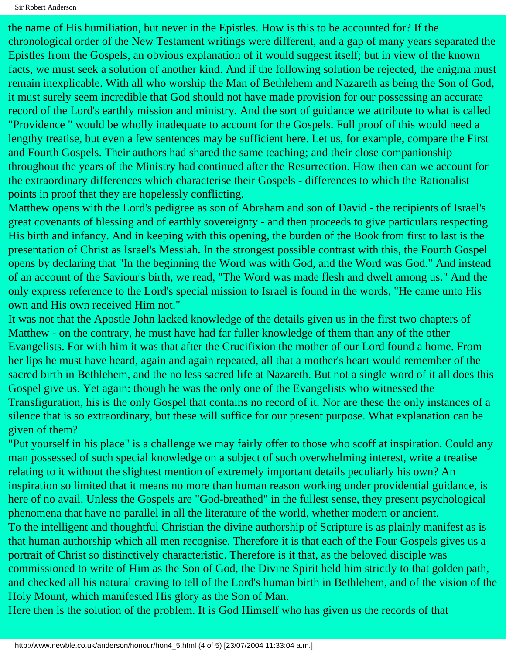the name of His humiliation, but never in the Epistles. How is this to be accounted for? If the chronological order of the New Testament writings were different, and a gap of many years separated the Epistles from the Gospels, an obvious explanation of it would suggest itself; but in view of the known facts, we must seek a solution of another kind. And if the following solution be rejected, the enigma must remain inexplicable. With all who worship the Man of Bethlehem and Nazareth as being the Son of God, it must surely seem incredible that God should not have made provision for our possessing an accurate record of the Lord's earthly mission and ministry. And the sort of guidance we attribute to what is called "Providence " would be wholly inadequate to account for the Gospels. Full proof of this would need a lengthy treatise, but even a few sentences may be sufficient here. Let us, for example, compare the First and Fourth Gospels. Their authors had shared the same teaching; and their close companionship throughout the years of the Ministry had continued after the Resurrection. How then can we account for the extraordinary differences which characterise their Gospels - differences to which the Rationalist points in proof that they are hopelessly conflicting.

Matthew opens with the Lord's pedigree as son of Abraham and son of David - the recipients of Israel's great covenants of blessing and of earthly sovereignty - and then proceeds to give particulars respecting His birth and infancy. And in keeping with this opening, the burden of the Book from first to last is the presentation of Christ as Israel's Messiah. In the strongest possible contrast with this, the Fourth Gospel opens by declaring that "In the beginning the Word was with God, and the Word was God." And instead of an account of the Saviour's birth, we read, "The Word was made flesh and dwelt among us." And the only express reference to the Lord's special mission to Israel is found in the words, "He came unto His own and His own received Him not."

It was not that the Apostle John lacked knowledge of the details given us in the first two chapters of Matthew - on the contrary, he must have had far fuller knowledge of them than any of the other Evangelists. For with him it was that after the Crucifixion the mother of our Lord found a home. From her lips he must have heard, again and again repeated, all that a mother's heart would remember of the sacred birth in Bethlehem, and the no less sacred life at Nazareth. But not a single word of it all does this Gospel give us. Yet again: though he was the only one of the Evangelists who witnessed the Transfiguration, his is the only Gospel that contains no record of it. Nor are these the only instances of a silence that is so extraordinary, but these will suffice for our present purpose. What explanation can be given of them?

"Put yourself in his place" is a challenge we may fairly offer to those who scoff at inspiration. Could any man possessed of such special knowledge on a subject of such overwhelming interest, write a treatise relating to it without the slightest mention of extremely important details peculiarly his own? An inspiration so limited that it means no more than human reason working under providential guidance, is here of no avail. Unless the Gospels are "God-breathed" in the fullest sense, they present psychological phenomena that have no parallel in all the literature of the world, whether modern or ancient. To the intelligent and thoughtful Christian the divine authorship of Scripture is as plainly manifest as is that human authorship which all men recognise. Therefore it is that each of the Four Gospels gives us a portrait of Christ so distinctively characteristic. Therefore is it that, as the beloved disciple was commissioned to write of Him as the Son of God, the Divine Spirit held him strictly to that golden path, and checked all his natural craving to tell of the Lord's human birth in Bethlehem, and of the vision of the Holy Mount, which manifested His glory as the Son of Man.

Here then is the solution of the problem. It is God Himself who has given us the records of that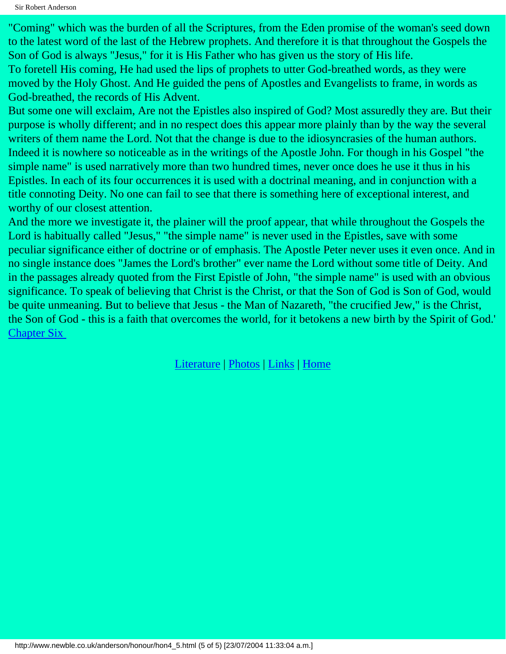Sir Robert Anderson

"Coming" which was the burden of all the Scriptures, from the Eden promise of the woman's seed down to the latest word of the last of the Hebrew prophets. And therefore it is that throughout the Gospels the Son of God is always "Jesus," for it is His Father who has given us the story of His life.

To foretell His coming, He had used the lips of prophets to utter God-breathed words, as they were moved by the Holy Ghost. And He guided the pens of Apostles and Evangelists to frame, in words as God-breathed, the records of His Advent.

But some one will exclaim, Are not the Epistles also inspired of God? Most assuredly they are. But their purpose is wholly different; and in no respect does this appear more plainly than by the way the several writers of them name the Lord. Not that the change is due to the idiosyncrasies of the human authors. Indeed it is nowhere so noticeable as in the writings of the Apostle John. For though in his Gospel "the simple name" is used narratively more than two hundred times, never once does he use it thus in his Epistles. In each of its four occurrences it is used with a doctrinal meaning, and in conjunction with a title connoting Deity. No one can fail to see that there is something here of exceptional interest, and worthy of our closest attention.

And the more we investigate it, the plainer will the proof appear, that while throughout the Gospels the Lord is habitually called "Jesus," "the simple name" is never used in the Epistles, save with some peculiar significance either of doctrine or of emphasis. The Apostle Peter never uses it even once. And in no single instance does "James the Lord's brother" ever name the Lord without some title of Deity. And in the passages already quoted from the First Epistle of John, "the simple name" is used with an obvious significance. To speak of believing that Christ is the Christ, or that the Son of God is Son of God, would be quite unmeaning. But to believe that Jesus - the Man of Nazareth, "the crucified Jew," is the Christ, the Son of God - this is a faith that overcomes the world, for it betokens a new birth by the Spirit of God.' [Chapter Six](#page-15-0)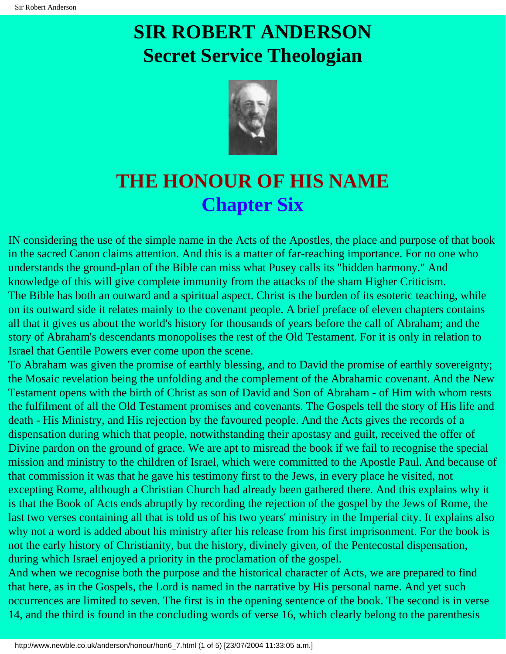

### <span id="page-15-0"></span>**THE HONOUR OF HIS NAME Chapter Six**

IN considering the use of the simple name in the Acts of the Apostles, the place and purpose of that book in the sacred Canon claims attention. And this is a matter of far-reaching importance. For no one who understands the ground-plan of the Bible can miss what Pusey calls its "hidden harmony." And knowledge of this will give complete immunity from the attacks of the sham Higher Criticism. The Bible has both an outward and a spiritual aspect. Christ is the burden of its esoteric teaching, while on its outward side it relates mainly to the covenant people. A brief preface of eleven chapters contains all that it gives us about the world's history for thousands of years before the call of Abraham; and the story of Abraham's descendants monopolises the rest of the Old Testament. For it is only in relation to Israel that Gentile Powers ever come upon the scene.

To Abraham was given the promise of earthly blessing, and to David the promise of earthly sovereignty; the Mosaic revelation being the unfolding and the complement of the Abrahamic covenant. And the New Testament opens with the birth of Christ as son of David and Son of Abraham - of Him with whom rests the fulfilment of all the Old Testament promises and covenants. The Gospels tell the story of His life and death - His Ministry, and His rejection by the favoured people. And the Acts gives the records of a dispensation during which that people, notwithstanding their apostasy and guilt, received the offer of Divine pardon on the ground of grace. We are apt to misread the book if we fail to recognise the special mission and ministry to the children of Israel, which were committed to the Apostle Paul. And because of that commission it was that he gave his testimony first to the Jews, in every place he visited, not excepting Rome, although a Christian Church had already been gathered there. And this explains why it is that the Book of Acts ends abruptly by recording the rejection of the gospel by the Jews of Rome, the last two verses containing all that is told us of his two years' ministry in the Imperial city. It explains also why not a word is added about his ministry after his release from his first imprisonment. For the book is not the early history of Christianity, but the history, divinely given, of the Pentecostal dispensation, during which Israel enjoyed a priority in the proclamation of the gospel.

And when we recognise both the purpose and the historical character of Acts, we are prepared to find that here, as in the Gospels, the Lord is named in the narrative by His personal name. And yet such occurrences are limited to seven. The first is in the opening sentence of the book. The second is in verse 14, and the third is found in the concluding words of verse 16, which clearly belong to the parenthesis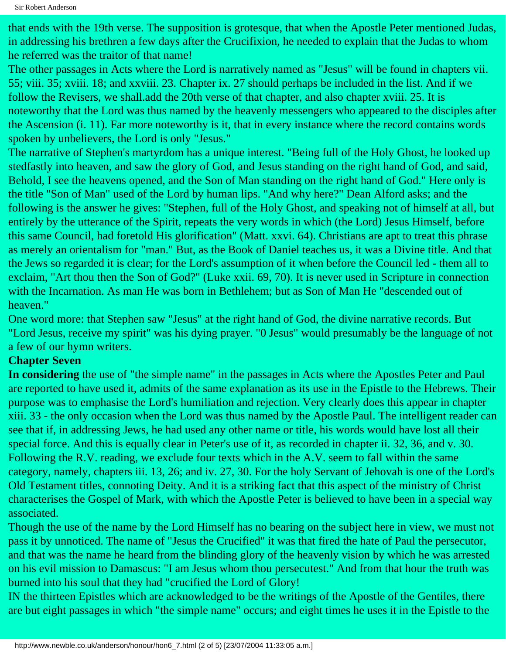that ends with the 19th verse. The supposition is grotesque, that when the Apostle Peter mentioned Judas, in addressing his brethren a few days after the Crucifixion, he needed to explain that the Judas to whom he referred was the traitor of that name!

The other passages in Acts where the Lord is narratively named as "Jesus" will be found in chapters vii. 55; viii. 35; xviii. 18; and xxviii. 23. Chapter ix. 27 should perhaps be included in the list. And if we follow the Revisers, we shall.add the 20th verse of that chapter, and also chapter xviii. 25. It is noteworthy that the Lord was thus named by the heavenly messengers who appeared to the disciples after the Ascension (i. 11). Far more noteworthy is it, that in every instance where the record contains words spoken by unbelievers, the Lord is only "Jesus."

The narrative of Stephen's martyrdom has a unique interest. "Being full of the Holy Ghost, he looked up stedfastly into heaven, and saw the glory of God, and Jesus standing on the right hand of God, and said, Behold, I see the heavens opened, and the Son of Man standing on the right hand of God." Here only is the title "Son of Man" used of the Lord by human lips. "And why here?" Dean Alford asks; and the following is the answer he gives: "Stephen, full of the Holy Ghost, and speaking not of himself at all, but entirely by the utterance of the Spirit, repeats the very words in which (the Lord) Jesus Himself, before this same Council, had foretold His glorification" (Matt. xxvi. 64). Christians are apt to treat this phrase as merely an orientalism for "man." But, as the Book of Daniel teaches us, it was a Divine title. And that the Jews so regarded it is clear; for the Lord's assumption of it when before the Council led - them all to exclaim, "Art thou then the Son of God?" (Luke xxii. 69, 70). It is never used in Scripture in connection with the Incarnation. As man He was born in Bethlehem; but as Son of Man He "descended out of heaven."

One word more: that Stephen saw "Jesus" at the right hand of God, the divine narrative records. But "Lord Jesus, receive my spirit" was his dying prayer. "0 Jesus" would presumably be the language of not a few of our hymn writers.

#### **Chapter Seven**

**In considering** the use of "the simple name" in the passages in Acts where the Apostles Peter and Paul are reported to have used it, admits of the same explanation as its use in the Epistle to the Hebrews. Their purpose was to emphasise the Lord's humiliation and rejection. Very clearly does this appear in chapter xiii. 33 - the only occasion when the Lord was thus named by the Apostle Paul. The intelligent reader can see that if, in addressing Jews, he had used any other name or title, his words would have lost all their special force. And this is equally clear in Peter's use of it, as recorded in chapter ii. 32, 36, and v. 30. Following the R.V. reading, we exclude four texts which in the A.V. seem to fall within the same category, namely, chapters iii. 13, 26; and iv. 27, 30. For the holy Servant of Jehovah is one of the Lord's Old Testament titles, connoting Deity. And it is a striking fact that this aspect of the ministry of Christ characterises the Gospel of Mark, with which the Apostle Peter is believed to have been in a special way associated.

Though the use of the name by the Lord Himself has no bearing on the subject here in view, we must not pass it by unnoticed. The name of "Jesus the Crucified" it was that fired the hate of Paul the persecutor, and that was the name he heard from the blinding glory of the heavenly vision by which he was arrested on his evil mission to Damascus: "I am Jesus whom thou persecutest." And from that hour the truth was burned into his soul that they had "crucified the Lord of Glory!

IN the thirteen Epistles which are acknowledged to be the writings of the Apostle of the Gentiles, there are but eight passages in which "the simple name" occurs; and eight times he uses it in the Epistle to the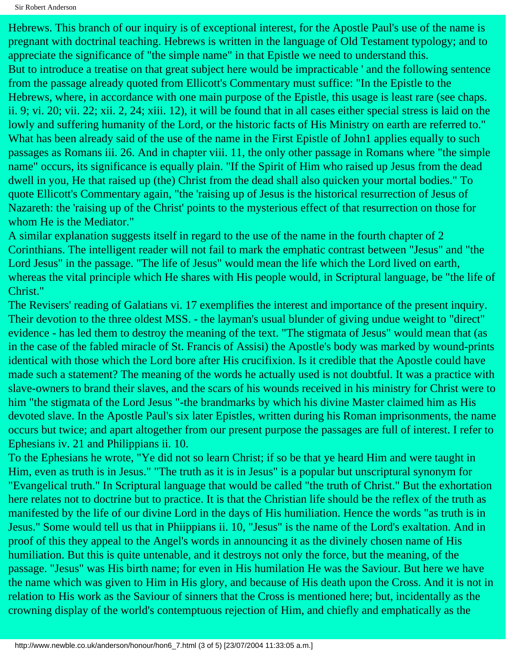Hebrews. This branch of our inquiry is of exceptional interest, for the Apostle Paul's use of the name is pregnant with doctrinal teaching. Hebrews is written in the language of Old Testament typology; and to appreciate the significance of "the simple name" in that Epistle we need to understand this. But to introduce a treatise on that great subject here would be impracticable ' and the following sentence from the passage already quoted from Ellicott's Commentary must suffice: "In the Epistle to the Hebrews, where, in accordance with one main purpose of the Epistle, this usage is least rare (see chaps. ii. 9; vi. 20; vii. 22; xii. 2, 24; xiii. 12), it will be found that in all cases either special stress is laid on the lowly and suffering humanity of the Lord, or the historic facts of His Ministry on earth are referred to." What has been already said of the use of the name in the First Epistle of John1 applies equally to such passages as Romans iii. 26. And in chapter viii. 11, the only other passage in Romans where "the simple name" occurs, its significance is equally plain. "If the Spirit of Him who raised up Jesus from the dead dwell in you, He that raised up (the) Christ from the dead shall also quicken your mortal bodies." To quote Ellicott's Commentary again, "the 'raising up of Jesus is the historical resurrection of Jesus of Nazareth: the 'raising up of the Christ' points to the mysterious effect of that resurrection on those for whom He is the Mediator."

A similar explanation suggests itself in regard to the use of the name in the fourth chapter of 2 Corinthians. The intelligent reader will not fail to mark the emphatic contrast between "Jesus" and "the Lord Jesus" in the passage. "The life of Jesus" would mean the life which the Lord lived on earth, whereas the vital principle which He shares with His people would, in Scriptural language, be "the life of Christ."

The Revisers' reading of Galatians vi. 17 exemplifies the interest and importance of the present inquiry. Their devotion to the three oldest MSS. - the layman's usual blunder of giving undue weight to "direct" evidence - has led them to destroy the meaning of the text. "The stigmata of Jesus" would mean that (as in the case of the fabled miracle of St. Francis of Assisi) the Apostle's body was marked by wound-prints identical with those which the Lord bore after His crucifixion. Is it credible that the Apostle could have made such a statement? The meaning of the words he actually used is not doubtful. It was a practice with slave-owners to brand their slaves, and the scars of his wounds received in his ministry for Christ were to him "the stigmata of the Lord Jesus "-the brandmarks by which his divine Master claimed him as His devoted slave. In the Apostle Paul's six later Epistles, written during his Roman imprisonments, the name occurs but twice; and apart altogether from our present purpose the passages are full of interest. I refer to Ephesians iv. 21 and Philippians ii. 10.

To the Ephesians he wrote, "Ye did not so learn Christ; if so be that ye heard Him and were taught in Him, even as truth is in Jesus." "The truth as it is in Jesus" is a popular but unscriptural synonym for "Evangelical truth." In Scriptural language that would be called "the truth of Christ." But the exhortation here relates not to doctrine but to practice. It is that the Christian life should be the reflex of the truth as manifested by the life of our divine Lord in the days of His humiliation. Hence the words "as truth is in Jesus." Some would tell us that in Phiippians ii. 10, "Jesus" is the name of the Lord's exaltation. And in proof of this they appeal to the Angel's words in announcing it as the divinely chosen name of His humiliation. But this is quite untenable, and it destroys not only the force, but the meaning, of the passage. "Jesus" was His birth name; for even in His humilation He was the Saviour. But here we have the name which was given to Him in His glory, and because of His death upon the Cross. And it is not in relation to His work as the Saviour of sinners that the Cross is mentioned here; but, incidentally as the crowning display of the world's contemptuous rejection of Him, and chiefly and emphatically as the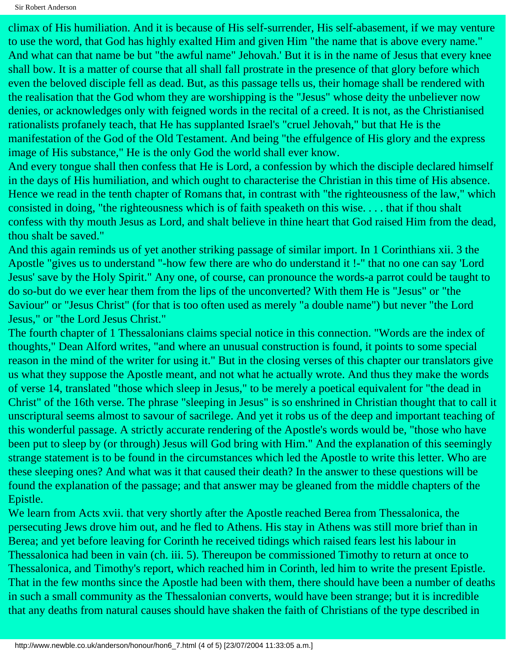climax of His humiliation. And it is because of His self-surrender, His self-abasement, if we may venture to use the word, that God has highly exalted Him and given Him "the name that is above every name." And what can that name be but "the awful name" Jehovah.' But it is in the name of Jesus that every knee shall bow. It is a matter of course that all shall fall prostrate in the presence of that glory before which even the beloved disciple fell as dead. But, as this passage tells us, their homage shall be rendered with the realisation that the God whom they are worshipping is the "Jesus" whose deity the unbeliever now denies, or acknowledges only with feigned words in the recital of a creed. It is not, as the Christianised rationalists profanely teach, that He has supplanted Israel's "cruel Jehovah," but that He is the manifestation of the God of the Old Testament. And being "the effulgence of His glory and the express image of His substance," He is the only God the world shall ever know.

And every tongue shall then confess that He is Lord, a confession by which the disciple declared himself in the days of His humiliation, and which ought to characterise the Christian in this time of His absence. Hence we read in the tenth chapter of Romans that, in contrast with "the righteousness of the law," which consisted in doing, "the righteousness which is of faith speaketh on this wise. . . . that if thou shalt confess with thy mouth Jesus as Lord, and shalt believe in thine heart that God raised Him from the dead, thou shalt be saved."

And this again reminds us of yet another striking passage of similar import. In 1 Corinthians xii. 3 the Apostle "gives us to understand "-how few there are who do understand it !-" that no one can say 'Lord Jesus' save by the Holy Spirit." Any one, of course, can pronounce the words-a parrot could be taught to do so-but do we ever hear them from the lips of the unconverted? With them He is "Jesus" or "the Saviour" or "Jesus Christ" (for that is too often used as merely "a double name") but never "the Lord Jesus," or "the Lord Jesus Christ."

The fourth chapter of 1 Thessalonians claims special notice in this connection. "Words are the index of thoughts," Dean Alford writes, "and where an unusual construction is found, it points to some special reason in the mind of the writer for using it." But in the closing verses of this chapter our translators give us what they suppose the Apostle meant, and not what he actually wrote. And thus they make the words of verse 14, translated "those which sleep in Jesus," to be merely a poetical equivalent for "the dead in Christ" of the 16th verse. The phrase "sleeping in Jesus" is so enshrined in Christian thought that to call it unscriptural seems almost to savour of sacrilege. And yet it robs us of the deep and important teaching of this wonderful passage. A strictly accurate rendering of the Apostle's words would be, "those who have been put to sleep by (or through) Jesus will God bring with Him." And the explanation of this seemingly strange statement is to be found in the circumstances which led the Apostle to write this letter. Who are these sleeping ones? And what was it that caused their death? In the answer to these questions will be found the explanation of the passage; and that answer may be gleaned from the middle chapters of the Epistle.

We learn from Acts xvii. that very shortly after the Apostle reached Berea from Thessalonica, the persecuting Jews drove him out, and he fled to Athens. His stay in Athens was still more brief than in Berea; and yet before leaving for Corinth he received tidings which raised fears lest his labour in Thessalonica had been in vain (ch. iii. 5). Thereupon be commissioned Timothy to return at once to Thessalonica, and Timothy's report, which reached him in Corinth, led him to write the present Epistle. That in the few months since the Apostle had been with them, there should have been a number of deaths in such a small community as the Thessalonian converts, would have been strange; but it is incredible that any deaths from natural causes should have shaken the faith of Christians of the type described in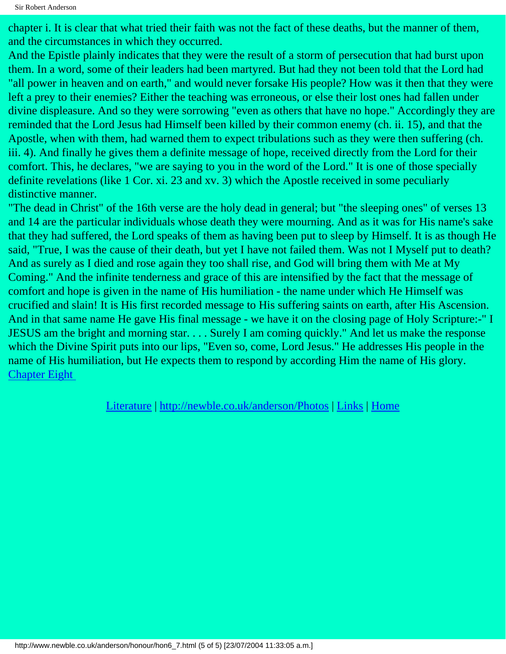chapter i. It is clear that what tried their faith was not the fact of these deaths, but the manner of them, and the circumstances in which they occurred.

And the Epistle plainly indicates that they were the result of a storm of persecution that had burst upon them. In a word, some of their leaders had been martyred. But had they not been told that the Lord had "all power in heaven and on earth," and would never forsake His people? How was it then that they were left a prey to their enemies? Either the teaching was erroneous, or else their lost ones had fallen under divine displeasure. And so they were sorrowing "even as others that have no hope." Accordingly they are reminded that the Lord Jesus had Himself been killed by their common enemy (ch. ii. 15), and that the Apostle, when with them, had warned them to expect tribulations such as they were then suffering (ch. iii. 4). And finally he gives them a definite message of hope, received directly from the Lord for their comfort. This, he declares, "we are saying to you in the word of the Lord." It is one of those specially definite revelations (like 1 Cor. xi. 23 and xv. 3) which the Apostle received in some peculiarly distinctive manner.

"The dead in Christ" of the 16th verse are the holy dead in general; but "the sleeping ones" of verses 13 and 14 are the particular individuals whose death they were mourning. And as it was for His name's sake that they had suffered, the Lord speaks of them as having been put to sleep by Himself. It is as though He said, "True, I was the cause of their death, but yet I have not failed them. Was not I Myself put to death? And as surely as I died and rose again they too shall rise, and God will bring them with Me at My Coming." And the infinite tenderness and grace of this are intensified by the fact that the message of comfort and hope is given in the name of His humiliation - the name under which He Himself was crucified and slain! It is His first recorded message to His suffering saints on earth, after His Ascension. And in that same name He gave His final message - we have it on the closing page of Holy Scripture:-" I JESUS am the bright and morning star. . . . Surely I am coming quickly." And let us make the response which the Divine Spirit puts into our lips, "Even so, come, Lord Jesus." He addresses His people in the name of His humiliation, but He expects them to respond by according Him the name of His glory. [Chapter Eight](#page-20-0)

[Literature](http://newble.co.uk/anderson/literature.html) | [http://newble.co.uk/anderson/Photos](http://www.newble.co.uk/anderson/honour/photos.html) | [Links](http://newble.co.uk/anderson/links.html) | [Home](http://newble.co.uk/anderson/index.html)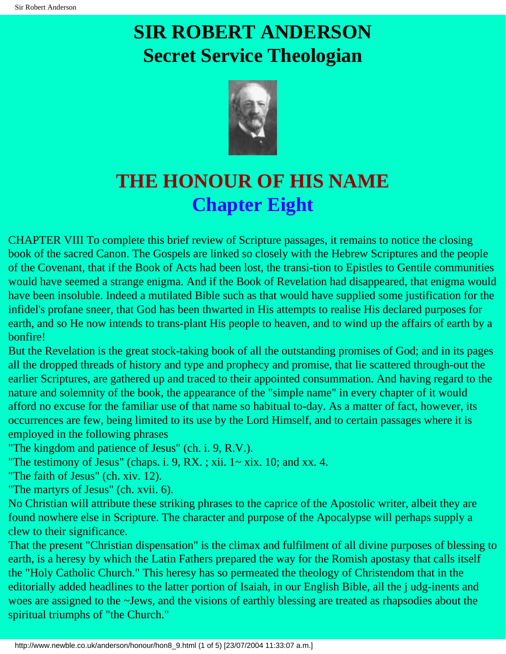

### <span id="page-20-0"></span>**THE HONOUR OF HIS NAME Chapter Eight**

CHAPTER VIII To complete this brief review of Scripture passages, it remains to notice the closing book of the sacred Canon. The Gospels are linked so closely with the Hebrew Scriptures and the people of the Covenant, that if the Book of Acts had been lost, the transi-tion to Epistles to Gentile communities would have seemed a strange enigma. And if the Book of Revelation had disappeared, that enigma would have been insoluble. Indeed a mutilated Bible such as that would have supplied some justification for the infidel's profane sneer, that God has been thwarted in His attempts to realise His declared purposes for earth, and so He now intends to trans-plant His people to heaven, and to wind up the affairs of earth by a bonfire!

But the Revelation is the great stock-taking book of all the outstanding promises of God; and in its pages all the dropped threads of history and type and prophecy and promise, that lie scattered through-out the earlier Scriptures, are gathered up and traced to their appointed consummation. And having regard to the nature and solemnity of the book, the appearance of the "simple name" in every chapter of it would afford no excuse for the familiar use of that name so habitual to-day. As a matter of fact, however, its occurrences are few, being limited to its use by the Lord Himself, and to certain passages where it is employed in the following phrases

"The kingdom and patience of Jesus" (ch. i. 9, R.V.).

"The testimony of Jesus" (chaps. i. 9, RX.; xii.  $1\sim$  xix. 10; and xx. 4.

"The faith of Jesus" (ch. xiv. 12).

"The martyrs of Jesus" (ch. xvii. 6).

No Christian will attribute these striking phrases to the caprice of the Apostolic writer, albeit they are found nowhere else in Scripture. The character and purpose of the Apocalypse will perhaps supply a clew to their significance.

That the present "Christian dispensation" is the climax and fulfilment of all divine purposes of blessing to earth, is a heresy by which the Latin Fathers prepared the way for the Romish apostasy that calls itself the "Holy Catholic Church." This heresy has so permeated the theology of Christendom that in the editorially added headlines to the latter portion of Isaiah, in our English Bible, all the j udg-inents and woes are assigned to the ~Jews, and the visions of earthly blessing are treated as rhapsodies about the spiritual triumphs of "the Church."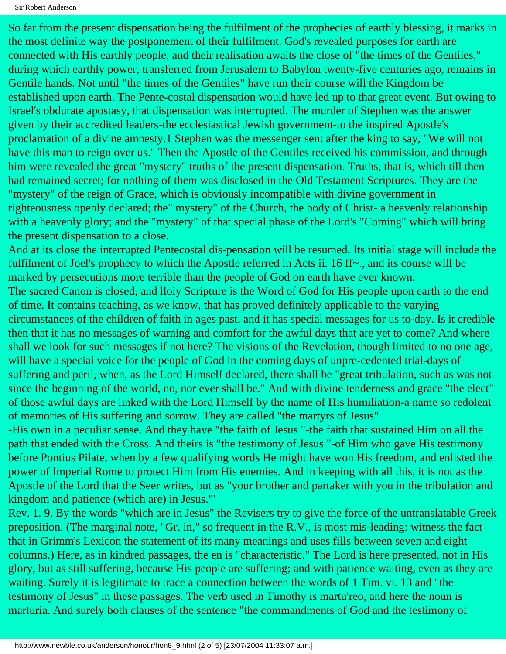So far from the present dispensation being the fulfilment of the prophecies of earthly blessing, it marks in the most definite way the postponement of their fulfilment. God's revealed purposes for earth are connected with His earthly people, and their realisation awaits the close of "the times of the Gentiles," during which earthly power, transferred from Jerusalem to Babylon twenty-five centuries ago, remains in Gentile hands. Not until "the times of the Gentiles" have run their course will the Kingdom be established upon earth. The Pente-costal dispensation would have led up to that great event. But owing to Israel's obdurate apostasy, that dispensation was interrupted. The murder of Stephen was the answer given by their accredited leaders-the ecclesiastical Jewish government-to the inspired Apostle's proclamation of a divine amnesty.1 Stephen was the messenger sent after the king to say, "We will not have this man to reign over us." Then the Apostle of the Gentiles received his commission, and through him were revealed the great "mystery" truths of the present dispensation. Truths, that is, which till then had remained secret; for nothing of them was disclosed in the Old Testament Scriptures. They are the "mystery" of the reign of Grace, which is obviously incompatible with divine government in righteousness openly declared; the" mystery" of the Church, the body of Christ- a heavenly relationship with a heavenly glory; and the "mystery" of that special phase of the Lord's "Coming" which will bring the present dispensation to a close.

And at its close the interrupted Pentecostal dis-pensation will be resumed. Its initial stage will include the fulfilment of Joel's prophecy to which the Apostle referred in Acts ii. 16 ff $\sim$ , and its course will be marked by persecutions more terrible than the people of God on earth have ever known.

The sacred Canon is closed, and lloiy Scripture is the Word of God for His people upon earth to the end of time. It contains teaching, as we know, that has proved definitely applicable to the varying circumstances of the children of faith in ages past, and it has special messages for us to-day. Is it credible then that it has no messages of warning and comfort for the awful days that are yet to come? And where shall we look for such messages if not here? The visions of the Revelation, though limited to no one age, will have a special voice for the people of God in the coming days of unpre-cedented trial-days of suffering and peril, when, as the Lord Himself declared, there shall be "great tribulation, such as was not since the beginning of the world, no, nor ever shall be." And with divine tenderness and grace "the elect" of those awful days are linked with the Lord Himself by the name of His humiliation-a name so redolent of memories of His suffering and sorrow. They are called "the martyrs of Jesus"

-His own in a peculiar sense. And they have "the faith of Jesus "-the faith that sustained Him on all the path that ended with the Cross. And theirs is "the testimony of Jesus "-of Him who gave His testimony before Pontius Pilate, when by a few qualifying words He might have won His freedom, and enlisted the power of Imperial Rome to protect Him from His enemies. And in keeping with all this, it is not as the Apostle of the Lord that the Seer writes, but as "your brother and partaker with you in the tribulation and kingdom and patience (which are) in Jesus."'

Rev. 1. 9. By the words "which are in Jesus" the Revisers try to give the force of the untranslatable Greek preposition. (The marginal note, "Gr. in," so frequent in the R.V., is most mis-leading: witness the fact that in Grimm's Lexicon the statement of its many meanings and uses fills between seven and eight columns.) Here, as in kindred passages, the en is "characteristic." The Lord is here presented, not in His glory, but as still suffering, because His people are suffering; and with patience waiting, even as they are waiting. Surely it is legitimate to trace a connection between the words of 1 Tim. vi. 13 and "the testimony of Jesus" in these passages. The verb used in Timothy is martu'reo, and here the noun is marturia. And surely both clauses of the sentence "the commandments of God and the testimony of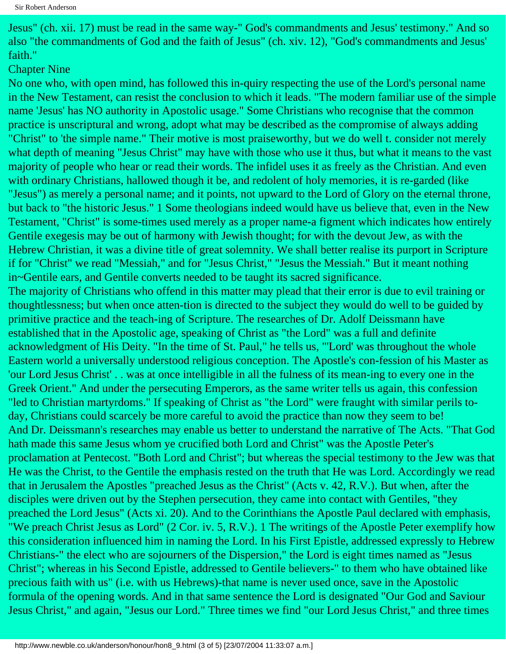Jesus" (ch. xii. 17) must be read in the same way-" God's commandments and Jesus' testimony." And so also "the commandments of God and the faith of Jesus" (ch. xiv. 12), "God's commandments and Jesus' faith."

#### Chapter Nine

No one who, with open mind, has followed this in-quiry respecting the use of the Lord's personal name in the New Testament, can resist the conclusion to which it leads. "The modern familiar use of the simple name 'Jesus' has NO authority in Apostolic usage." Some Christians who recognise that the common practice is unscriptural and wrong, adopt what may be described as the compromise of always adding "Christ" to 'the simple name." Their motive is most praiseworthy, but we do well t. consider not merely what depth of meaning "Jesus Christ" may have with those who use it thus, but what it means to the vast majority of people who hear or read their words. The infidel uses it as freely as the Christian. And even with ordinary Christians, hallowed though it be, and redolent of holy memories, it is re-garded (like "Jesus") as merely a personal name; and it points, not upward to the Lord of Glory on the eternal throne, but back to "the historic Jesus." 1 Some theologians indeed would have us believe that, even in the New Testament, "Christ" is some-times used merely as a proper name-a figment which indicates how entirely Gentile exegesis may be out of harmony with Jewish thought; for with the devout Jew, as with the Hebrew Christian, it was a divine title of great solemnity. We shall better realise its purport in Scripture if for "Christ" we read "Messiah," and for "Jesus Christ," "Jesus the Messiah." But it meant nothing in~Gentile ears, and Gentile converts needed to be taught its sacred significance. The majority of Christians who offend in this matter may plead that their error is due to evil training or thoughtlessness; but when once atten-tion is directed to the subject they would do well to be guided by primitive practice and the teach-ing of Scripture. The researches of Dr. Adolf Deissmann have established that in the Apostolic age, speaking of Christ as "the Lord" was a full and definite acknowledgment of His Deity. "In the time of St. Paul," he tells us, "'Lord' was throughout the whole Eastern world a universally understood religious conception. The Apostle's con-fession of his Master as 'our Lord Jesus Christ' . . was at once intelligible in all the fulness of its mean-ing to every one in the Greek Orient." And under the persecuting Emperors, as the same writer tells us again, this confession "led to Christian martyrdoms." If speaking of Christ as "the Lord" were fraught with similar perils today, Christians could scarcely be more careful to avoid the practice than now they seem to be! And Dr. Deissmann's researches may enable us better to understand the narrative of The Acts. "That God hath made this same Jesus whom ye crucified both Lord and Christ" was the Apostle Peter's proclamation at Pentecost. "Both Lord and Christ"; but whereas the special testimony to the Jew was that He was the Christ, to the Gentile the emphasis rested on the truth that He was Lord. Accordingly we read that in Jerusalem the Apostles "preached Jesus as the Christ" (Acts v. 42, R.V.). But when, after the disciples were driven out by the Stephen persecution, they came into contact with Gentiles, "they preached the Lord Jesus" (Acts xi. 20). And to the Corinthians the Apostle Paul declared with emphasis, "We preach Christ Jesus as Lord" (2 Cor. iv. 5, R.V.). 1 The writings of the Apostle Peter exemplify how this consideration influenced him in naming the Lord. In his First Epistle, addressed expressly to Hebrew Christians-" the elect who are sojourners of the Dispersion," the Lord is eight times named as "Jesus Christ"; whereas in his Second Epistle, addressed to Gentile believers-" to them who have obtained like precious faith with us" (i.e. with us Hebrews)-that name is never used once, save in the Apostolic formula of the opening words. And in that same sentence the Lord is designated "Our God and Saviour Jesus Christ," and again, "Jesus our Lord." Three times we find "our Lord Jesus Christ," and three times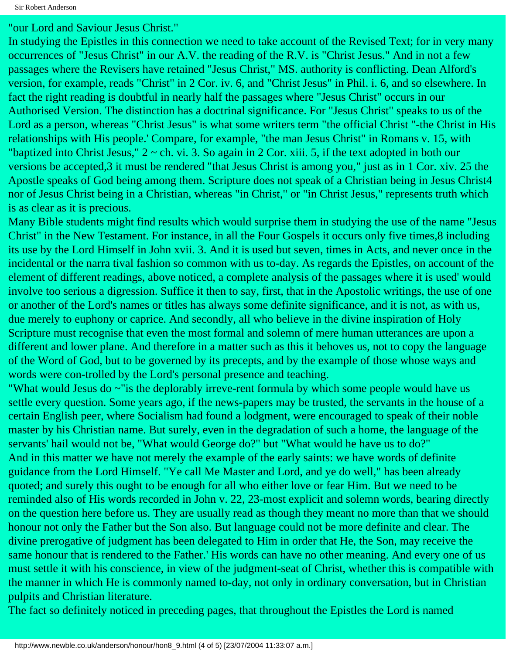"our Lord and Saviour Jesus Christ."

In studying the Epistles in this connection we need to take account of the Revised Text; for in very many occurrences of "Jesus Christ" in our A.V. the reading of the R.V. is "Christ Jesus." And in not a few passages where the Revisers have retained "Jesus Christ," MS. authority is conflicting. Dean Alford's version, for example, reads "Christ" in 2 Cor. iv. 6, and "Christ Jesus" in Phil. i. 6, and so elsewhere. In fact the right reading is doubtful in nearly half the passages where "Jesus Christ" occurs in our Authorised Version. The distinction has a doctrinal significance. For "Jesus Christ" speaks to us of the Lord as a person, whereas "Christ Jesus" is what some writers term "the official Christ "-the Christ in His relationships with His people.' Compare, for example, "the man Jesus Christ" in Romans v. 15, with "baptized into Christ Jesus,"  $2 \sim$  ch. vi. 3. So again in  $2$  Cor. xiii. 5, if the text adopted in both our versions be accepted,3 it must be rendered "that Jesus Christ is among you," just as in 1 Cor. xiv. 25 the Apostle speaks of God being among them. Scripture does not speak of a Christian being in Jesus Christ4 nor of Jesus Christ being in a Christian, whereas "in Christ," or "in Christ Jesus," represents truth which is as clear as it is precious.

Many Bible students might find results which would surprise them in studying the use of the name "Jesus Christ" in the New Testament. For instance, in all the Four Gospels it occurs only five times,8 including its use by the Lord Himself in John xvii. 3. And it is used but seven, times in Acts, and never once in the incidental or the narra tival fashion so common with us to-day. As regards the Epistles, on account of the element of different readings, above noticed, a complete analysis of the passages where it is used' would involve too serious a digression. Suffice it then to say, first, that in the Apostolic writings, the use of one or another of the Lord's names or titles has always some definite significance, and it is not, as with us, due merely to euphony or caprice. And secondly, all who believe in the divine inspiration of Holy Scripture must recognise that even the most formal and solemn of mere human utterances are upon a different and lower plane. And therefore in a matter such as this it behoves us, not to copy the language of the Word of God, but to be governed by its precepts, and by the example of those whose ways and words were con-trolled by the Lord's personal presence and teaching.

"What would Jesus do ~"is the deplorably irreve-rent formula by which some people would have us settle every question. Some years ago, if the news-papers may be trusted, the servants in the house of a certain English peer, where Socialism had found a lodgment, were encouraged to speak of their noble master by his Christian name. But surely, even in the degradation of such a home, the language of the servants' hail would not be, "What would George do?" but "What would he have us to do?" And in this matter we have not merely the example of the early saints: we have words of definite guidance from the Lord Himself. "Ye call Me Master and Lord, and ye do well," has been already quoted; and surely this ought to be enough for all who either love or fear Him. But we need to be reminded also of His words recorded in John v. 22, 23-most explicit and solemn words, bearing directly on the question here before us. They are usually read as though they meant no more than that we should honour not only the Father but the Son also. But language could not be more definite and clear. The divine prerogative of judgment has been delegated to Him in order that He, the Son, may receive the same honour that is rendered to the Father.' His words can have no other meaning. And every one of us must settle it with his conscience, in view of the judgment-seat of Christ, whether this is compatible with the manner in which He is commonly named to-day, not only in ordinary conversation, but in Christian pulpits and Christian literature.

The fact so definitely noticed in preceding pages, that throughout the Epistles the Lord is named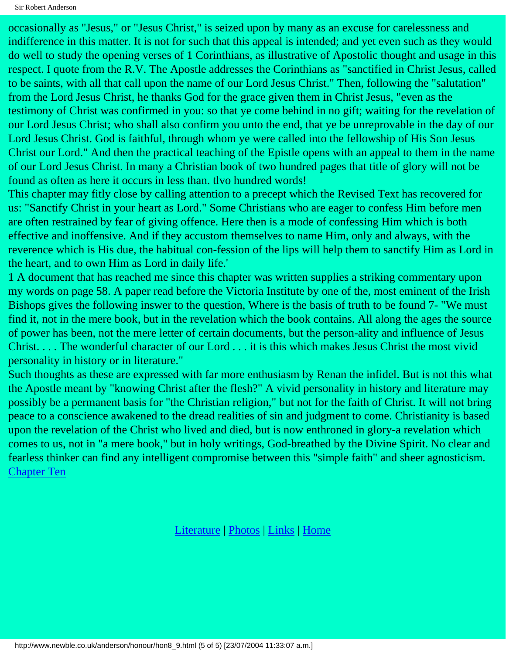Sir Robert Anderson

occasionally as "Jesus," or "Jesus Christ," is seized upon by many as an excuse for carelessness and indifference in this matter. It is not for such that this appeal is intended; and yet even such as they would do well to study the opening verses of 1 Corinthians, as illustrative of Apostolic thought and usage in this respect. I quote from the R.V. The Apostle addresses the Corinthians as "sanctified in Christ Jesus, called to be saints, with all that call upon the name of our Lord Jesus Christ." Then, following the "salutation" from the Lord Jesus Christ, he thanks God for the grace given them in Christ Jesus, "even as the testimony of Christ was confirmed in you: so that ye come behind in no gift; waiting for the revelation of our Lord Jesus Christ; who shall also confirm you unto the end, that ye be unreprovable in the day of our Lord Jesus Christ. God is faithful, through whom ye were called into the fellowship of His Son Jesus Christ our Lord." And then the practical teaching of the Epistle opens with an appeal to them in the name of our Lord Jesus Christ. In many a Christian book of two hundred pages that title of glory will not be found as often as here it occurs in less than. tlvo hundred words!

This chapter may fitly close by calling attention to a precept which the Revised Text has recovered for us: "Sanctify Christ in your heart as Lord." Some Christians who are eager to confess Him before men are often restrained by fear of giving offence. Here then is a mode of confessing Him which is both effective and inoffensive. And if they accustom themselves to name Him, only and always, with the reverence which is His due, the habitual con-fession of the lips will help them to sanctify Him as Lord in the heart, and to own Him as Lord in daily life.'

1 A document that has reached me since this chapter was written supplies a striking commentary upon my words on page 58. A paper read before the Victoria Institute by one of the, most eminent of the Irish Bishops gives the following inswer to the question, Where is the basis of truth to be found 7- "We must find it, not in the mere book, but in the revelation which the book contains. All along the ages the source of power has been, not the mere letter of certain documents, but the person-ality and influence of Jesus Christ. . . . The wonderful character of our Lord . . . it is this which makes Jesus Christ the most vivid personality in history or in literature."

Such thoughts as these are expressed with far more enthusiasm by Renan the infidel. But is not this what the Apostle meant by "knowing Christ after the flesh?" A vivid personality in history and literature may possibly be a permanent basis for "the Christian religion," but not for the faith of Christ. It will not bring peace to a conscience awakened to the dread realities of sin and judgment to come. Christianity is based upon the revelation of the Christ who lived and died, but is now enthroned in glory-a revelation which comes to us, not in "a mere book," but in holy writings, God-breathed by the Divine Spirit. No clear and fearless thinker can find any intelligent compromise between this "simple faith" and sheer agnosticism. [Chapter Ten](#page-25-0)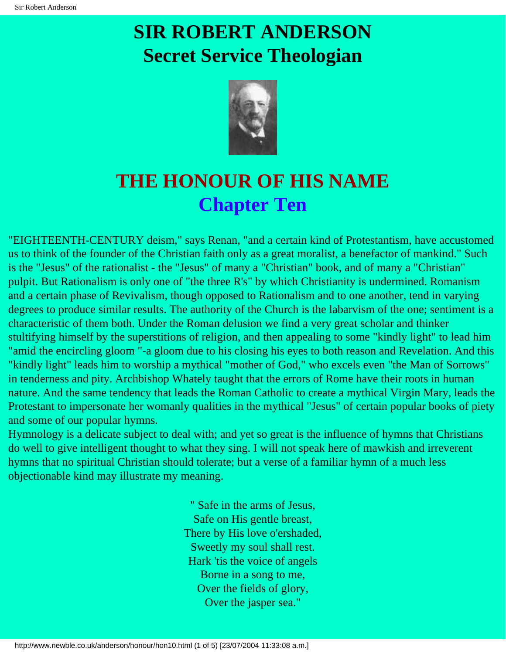

### <span id="page-25-0"></span>**THE HONOUR OF HIS NAME Chapter Ten**

"EIGHTEENTH-CENTURY deism," says Renan, "and a certain kind of Protestantism, have accustomed us to think of the founder of the Christian faith only as a great moralist, a benefactor of mankind." Such is the "Jesus" of the rationalist - the "Jesus" of many a "Christian" book, and of many a "Christian" pulpit. But Rationalism is only one of "the three R's" by which Christianity is undermined. Romanism and a certain phase of Revivalism, though opposed to Rationalism and to one another, tend in varying degrees to produce similar results. The authority of the Church is the labarvism of the one; sentiment is a characteristic of them both. Under the Roman delusion we find a very great scholar and thinker stultifying himself by the superstitions of religion, and then appealing to some "kindly light" to lead him "amid the encircling gloom "-a gloom due to his closing his eyes to both reason and Revelation. And this "kindly light" leads him to worship a mythical "mother of God," who excels even "the Man of Sorrows" in tenderness and pity. Archbishop Whately taught that the errors of Rome have their roots in human nature. And the same tendency that leads the Roman Catholic to create a mythical Virgin Mary, leads the Protestant to impersonate her womanly qualities in the mythical "Jesus" of certain popular books of piety and some of our popular hymns.

Hymnology is a delicate subject to deal with; and yet so great is the influence of hymns that Christians do well to give intelligent thought to what they sing. I will not speak here of mawkish and irreverent hymns that no spiritual Christian should tolerate; but a verse of a familiar hymn of a much less objectionable kind may illustrate my meaning.

> " Safe in the arms of Jesus, Safe on His gentle breast, There by His love o'ershaded, Sweetly my soul shall rest. Hark 'tis the voice of angels Borne in a song to me, Over the fields of glory, Over the jasper sea."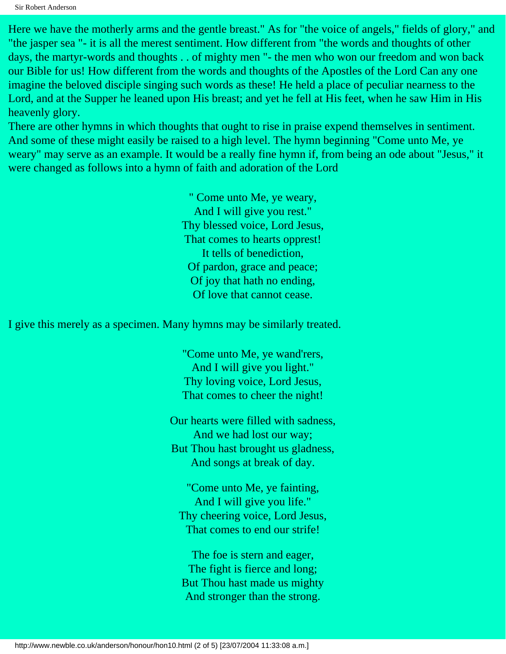Sir Robert Anderson

Here we have the motherly arms and the gentle breast." As for "the voice of angels," fields of glory," and "the jasper sea "- it is all the merest sentiment. How different from "the words and thoughts of other days, the martyr-words and thoughts . . of mighty men "- the men who won our freedom and won back our Bible for us! How different from the words and thoughts of the Apostles of the Lord Can any one imagine the beloved disciple singing such words as these! He held a place of peculiar nearness to the Lord, and at the Supper he leaned upon His breast; and yet he fell at His feet, when he saw Him in His heavenly glory.

There are other hymns in which thoughts that ought to rise in praise expend themselves in sentiment. And some of these might easily be raised to a high level. The hymn beginning "Come unto Me, ye weary" may serve as an example. It would be a really fine hymn if, from being an ode about "Jesus," it were changed as follows into a hymn of faith and adoration of the Lord

> " Come unto Me, ye weary, And I will give you rest." Thy blessed voice, Lord Jesus, That comes to hearts opprest! It tells of benediction, Of pardon, grace and peace; Of joy that hath no ending, Of love that cannot cease.

I give this merely as a specimen. Many hymns may be similarly treated.

"Come unto Me, ye wand'rers, And I will give you light." Thy loving voice, Lord Jesus, That comes to cheer the night!

Our hearts were filled with sadness, And we had lost our way; But Thou hast brought us gladness, And songs at break of day.

"Come unto Me, ye fainting, And I will give you life." Thy cheering voice, Lord Jesus, That comes to end our strife!

The foe is stern and eager, The fight is fierce and long; But Thou hast made us mighty And stronger than the strong.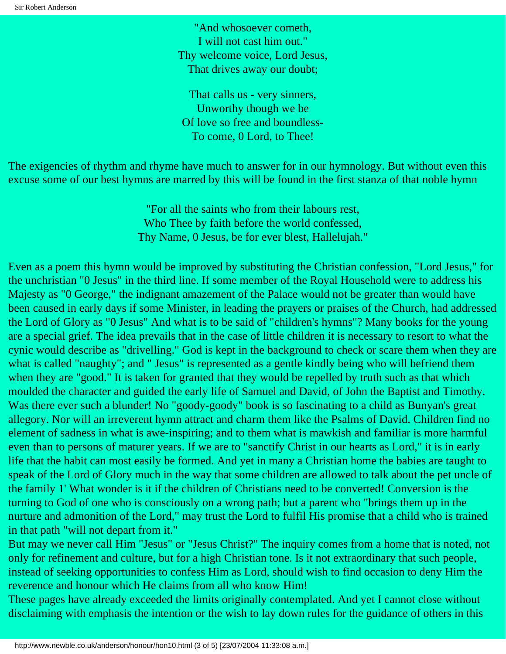"And whosoever cometh, I will not cast him out." Thy welcome voice, Lord Jesus, That drives away our doubt;

That calls us - very sinners, Unworthy though we be Of love so free and boundless-To come, 0 Lord, to Thee!

The exigencies of rhythm and rhyme have much to answer for in our hymnology. But without even this excuse some of our best hymns are marred by this will be found in the first stanza of that noble hymn

> "For all the saints who from their labours rest, Who Thee by faith before the world confessed, Thy Name, 0 Jesus, be for ever blest, Hallelujah."

Even as a poem this hymn would be improved by substituting the Christian confession, "Lord Jesus," for the unchristian "0 Jesus" in the third line. If some member of the Royal Household were to address his Majesty as "0 George," the indignant amazement of the Palace would not be greater than would have been caused in early days if some Minister, in leading the prayers or praises of the Church, had addressed the Lord of Glory as "0 Jesus" And what is to be said of "children's hymns"? Many books for the young are a special grief. The idea prevails that in the case of little children it is necessary to resort to what the cynic would describe as "drivelling." God is kept in the background to check or scare them when they are what is called "naughty"; and " Jesus" is represented as a gentle kindly being who will befriend them when they are "good." It is taken for granted that they would be repelled by truth such as that which moulded the character and guided the early life of Samuel and David, of John the Baptist and Timothy. Was there ever such a blunder! No "goody-goody" book is so fascinating to a child as Bunyan's great allegory. Nor will an irreverent hymn attract and charm them like the Psalms of David. Children find no element of sadness in what is awe-inspiring; and to them what is mawkish and familiar is more harmful even than to persons of maturer years. If we are to "sanctify Christ in our hearts as Lord," it is in early life that the habit can most easily be formed. And yet in many a Christian home the babies are taught to speak of the Lord of Glory much in the way that some children are allowed to talk about the pet uncle of the family 1' What wonder is it if the children of Christians need to be converted! Conversion is the turning to God of one who is consciously on a wrong path; but a parent who "brings them up in the nurture and admonition of the Lord," may trust the Lord to fulfil His promise that a child who is trained in that path "will not depart from it."

But may we never call Him "Jesus" or "Jesus Christ?" The inquiry comes from a home that is noted, not only for refinement and culture, but for a high Christian tone. Is it not extraordinary that such people, instead of seeking opportunities to confess Him as Lord, should wish to find occasion to deny Him the reverence and honour which He claims from all who know Him!

These pages have already exceeded the limits originally contemplated. And yet I cannot close without disclaiming with emphasis the intention or the wish to lay down rules for the guidance of others in this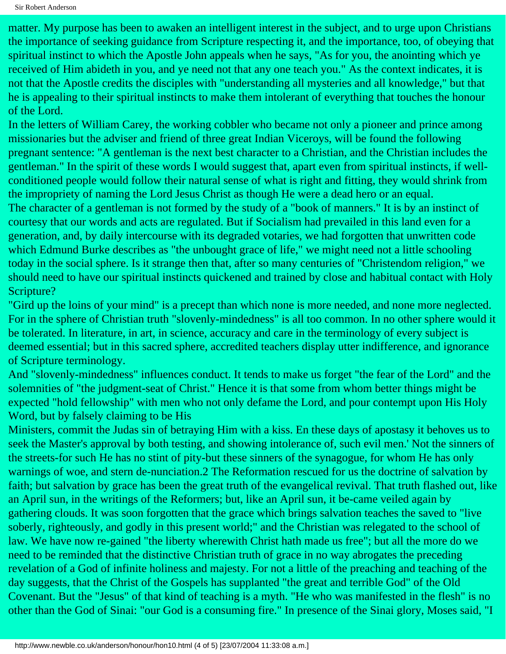matter. My purpose has been to awaken an intelligent interest in the subject, and to urge upon Christians the importance of seeking guidance from Scripture respecting it, and the importance, too, of obeying that spiritual instinct to which the Apostle John appeals when he says, "As for you, the anointing which ye received of Him abideth in you, and ye need not that any one teach you." As the context indicates, it is not that the Apostle credits the disciples with "understanding all mysteries and all knowledge," but that he is appealing to their spiritual instincts to make them intolerant of everything that touches the honour of the Lord.

In the letters of William Carey, the working cobbler who became not only a pioneer and prince among missionaries but the adviser and friend of three great Indian Viceroys, will be found the following pregnant sentence: "A gentleman is the next best character to a Christian, and the Christian includes the gentleman." In the spirit of these words I would suggest that, apart even from spiritual instincts, if wellconditioned people would follow their natural sense of what is right and fitting, they would shrink from the impropriety of naming the Lord Jesus Christ as though He were a dead hero or an equal. The character of a gentleman is not formed by the study of a "book of manners." It is by an instinct of courtesy that our words and acts are regulated. But if Socialism had prevailed in this land even for a generation, and, by daily intercourse with its degraded votaries, we had forgotten that unwritten code which Edmund Burke describes as "the unbought grace of life," we might need not a little schooling today in the social sphere. Is it strange then that, after so many centuries of "Christendom religion," we should need to have our spiritual instincts quickened and trained by close and habitual contact with Holy Scripture?

"Gird up the loins of your mind" is a precept than which none is more needed, and none more neglected. For in the sphere of Christian truth "slovenly-mindedness" is all too common. In no other sphere would it be tolerated. In literature, in art, in science, accuracy and care in the terminology of every subject is deemed essential; but in this sacred sphere, accredited teachers display utter indifference, and ignorance of Scripture terminology.

And "slovenly-mindedness" influences conduct. It tends to make us forget "the fear of the Lord" and the solemnities of "the judgment-seat of Christ." Hence it is that some from whom better things might be expected "hold fellowship" with men who not only defame the Lord, and pour contempt upon His Holy Word, but by falsely claiming to be His

Ministers, commit the Judas sin of betraying Him with a kiss. En these days of apostasy it behoves us to seek the Master's approval by both testing, and showing intolerance of, such evil men.' Not the sinners of the streets-for such He has no stint of pity-but these sinners of the synagogue, for whom He has only warnings of woe, and stern de-nunciation.2 The Reformation rescued for us the doctrine of salvation by faith; but salvation by grace has been the great truth of the evangelical revival. That truth flashed out, like an April sun, in the writings of the Reformers; but, like an April sun, it be-came veiled again by gathering clouds. It was soon forgotten that the grace which brings salvation teaches the saved to "live soberly, righteously, and godly in this present world;" and the Christian was relegated to the school of law. We have now re-gained "the liberty wherewith Christ hath made us free"; but all the more do we need to be reminded that the distinctive Christian truth of grace in no way abrogates the preceding revelation of a God of infinite holiness and majesty. For not a little of the preaching and teaching of the day suggests, that the Christ of the Gospels has supplanted "the great and terrible God" of the Old Covenant. But the "Jesus" of that kind of teaching is a myth. "He who was manifested in the flesh" is no other than the God of Sinai: "our God is a consuming fire." In presence of the Sinai glory, Moses said, "I